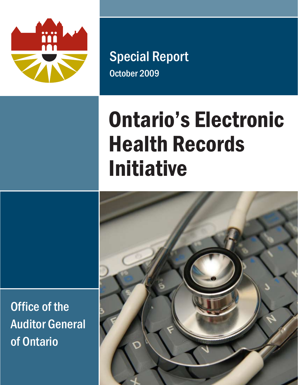

Special Report October 2009

# Ontario's Electronic Health Records Initiative

Office of the Auditor General of Ontario

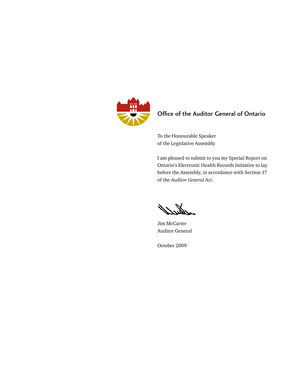

# Office of the Auditor General of Ontario

To the Honourable Speaker of the Legislative Assembly

I am pleased to submit to you my Special Report on Ontario's Electronic Health Records Initiative to lay before the Assembly, in accordance with Section 17 of the *Auditor General Act*.

Jim McCarter Auditor General

October 2009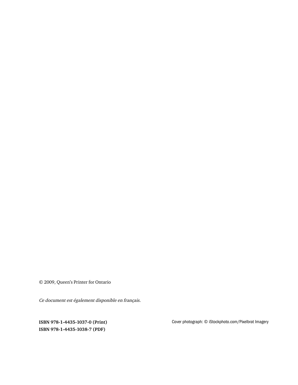© 2009, Queen's Printer for Ontario

Ce document est également disponible en français.

**ISBN 978-1-4435-1037-0 (Print) ISBN 978-1-4435-1038-7 (PDF)**

Cover photograph: © iStockphoto.com/Pixelbrat Imagery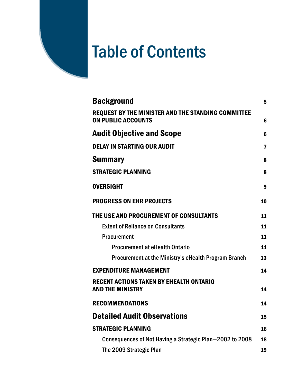

# Table of Contents

| <b>Background</b>                                                               | 5  |
|---------------------------------------------------------------------------------|----|
| REQUEST BY THE MINISTER AND THE STANDING COMMITTEE<br><b>ON PUBLIC ACCOUNTS</b> | 6  |
| <b>Audit Objective and Scope</b>                                                | 6  |
| <b>DELAY IN STARTING OUR AUDIT</b>                                              | 7  |
| <b>Summary</b>                                                                  | 8  |
| <b>STRATEGIC PLANNING</b>                                                       | 8  |
| <b>OVERSIGHT</b>                                                                | 9  |
| <b>PROGRESS ON EHR PROJECTS</b>                                                 | 10 |
| THE USE AND PROCUREMENT OF CONSULTANTS                                          | 11 |
| <b>Extent of Reliance on Consultants</b>                                        | 11 |
| <b>Procurement</b>                                                              | 11 |
| <b>Procurement at eHealth Ontario</b>                                           | 11 |
| Procurement at the Ministry's eHealth Program Branch                            | 13 |
| <b>EXPENDITURE MANAGEMENT</b>                                                   | 14 |
| <b>RECENT ACTIONS TAKEN BY EHEALTH ONTARIO</b><br><b>AND THE MINISTRY</b>       | 14 |
| <b>RECOMMENDATIONS</b>                                                          | 14 |
| <b>Detailed Audit Observations</b>                                              | 15 |
| <b>STRATEGIC PLANNING</b>                                                       | 16 |
| Consequences of Not Having a Strategic Plan-2002 to 2008                        | 18 |
| The 2009 Strategic Plan                                                         | 19 |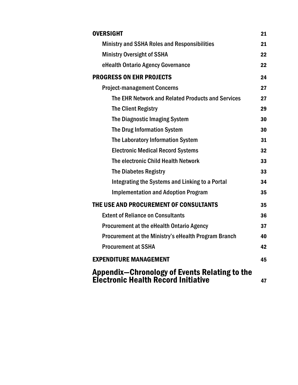| <b>OVERSIGHT</b>                                                                            | 21 |
|---------------------------------------------------------------------------------------------|----|
| <b>Ministry and SSHA Roles and Responsibilities</b>                                         | 21 |
| <b>Ministry Oversight of SSHA</b>                                                           | 22 |
| eHealth Ontario Agency Governance                                                           | 22 |
| <b>PROGRESS ON EHR PROJECTS</b>                                                             | 24 |
| <b>Project-management Concerns</b>                                                          | 27 |
| The EHR Network and Related Products and Services                                           | 27 |
| The Client Registry                                                                         | 29 |
| The Diagnostic Imaging System                                                               | 30 |
| <b>The Drug Information System</b>                                                          | 30 |
| The Laboratory Information System                                                           | 31 |
| <b>Electronic Medical Record Systems</b>                                                    | 32 |
| The electronic Child Health Network                                                         | 33 |
| <b>The Diabetes Registry</b>                                                                | 33 |
| Integrating the Systems and Linking to a Portal                                             | 34 |
| <b>Implementation and Adoption Program</b>                                                  | 35 |
| THE USE AND PROCUREMENT OF CONSULTANTS                                                      | 35 |
| <b>Extent of Reliance on Consultants</b>                                                    | 36 |
| <b>Procurement at the eHealth Ontario Agency</b>                                            | 37 |
| Procurement at the Ministry's eHealth Program Branch                                        | 40 |
| <b>Procurement at SSHA</b>                                                                  | 42 |
| <b>EXPENDITURE MANAGEMENT</b>                                                               | 45 |
| Appendix-Chronology of Events Relating to the<br><b>Electronic Health Record Initiative</b> | 47 |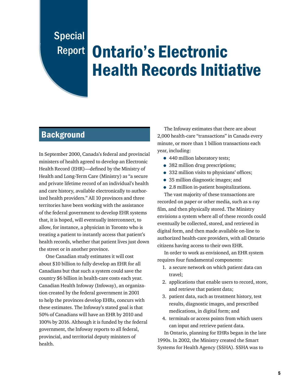# <span id="page-6-0"></span>Report **Ontario's Electronic** Health Records Initiative Special

# Background

In September 2000, Canada's federal and provincial ministers of health agreed to develop an Electronic Health Record (EHR)—defined by the Ministry of Health and Long-Term Care (Ministry) as "a secure and private lifetime record of an individual's health and care history, available electronically to authorized health providers." All 10 provinces and three territories have been working with the assistance of the federal government to develop EHR systems that, it is hoped, will eventually interconnect, to allow, for instance, a physician in Toronto who is treating a patient to instantly access that patient's health records, whether that patient lives just down the street or in another province.

One Canadian study estimates it will cost about \$10 billion to fully develop an EHR for all Canadians but that such a system could save the country \$6 billion in health-care costs each year. Canadian Health Infoway (Infoway), an organization created by the federal government in 2001 to help the provinces develop EHRs, concurs with these estimates. The Infoway's stated goal is that 50% of Canadians will have an EHR by 2010 and 100% by 2016. Although it is funded by the federal government, the Infoway reports to all federal, provincial, and territorial deputy ministers of health.

The Infoway estimates that there are about 2,000 health-care "transactions" in Canada every minute, or more than 1 billion transactions each year, including:

- 440 million laboratory tests;
- 382 million drug prescriptions;
- 332 million visits to physicians' offices;
- 35 million diagnostic images; and
- 2.8 million in-patient hospitalizations.

The vast majority of these transactions are recorded on paper or other media, such as x-ray film, and then physically stored. The Ministry envisions a system where all of these records could eventually be collected, stored, and retrieved in digital form, and then made available on-line to authorized health-care providers, with all Ontario citizens having access to their own EHR.

In order to work as envisioned, an EHR system requires four fundamental components:

- 1. a secure network on which patient data can travel;
- 2. applications that enable users to record, store, and retrieve that patient data;
- 3. patient data, such as treatment history, test results, diagnostic images, and prescribed medications, in digital form; and
- 4. terminals or access points from which users can input and retrieve patient data.

In Ontario, planning for EHRs began in the late 1990s. In 2002, the Ministry created the Smart Systems for Health Agency (SSHA). SSHA was to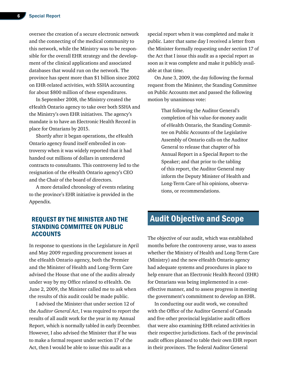<span id="page-7-0"></span>oversee the creation of a secure electronic network and the connecting of the medical community to this network, while the Ministry was to be responsible for the overall EHR strategy and the development of the clinical applications and associated databases that would run on the network. The province has spent more than \$1 billion since 2002 on EHR-related activities, with SSHA accounting for about \$800 million of these expenditures.

In September 2008, the Ministry created the eHealth Ontario agency to take over both SSHA and the Ministry's own EHR initiatives. The agency's mandate is to have an Electronic Health Record in place for Ontarians by 2015.

Shortly after it began operations, the eHealth Ontario agency found itself embroiled in controversy when it was widely reported that it had handed out millions of dollars in untendered contracts to consultants. This controversy led to the resignation of the eHealth Ontario agency's CEO and the Chair of the board of directors.

A more detailed chronology of events relating to the province's EHR initiative is provided in the Appendix.

# request by the minister and the standing committee on public **ACCOUNTS**

In response to questions in the Legislature in April and May 2009 regarding procurement issues at the eHealth Ontario agency, both the Premier and the Minister of Health and Long-Term Care advised the House that one of the audits already under way by my Office related to eHealth. On June 2, 2009, the Minister called me to ask when the results of this audit could be made public.

I advised the Minister that under section 12 of the *Auditor General Act*, I was required to report the results of all audit work for the year in my Annual Report, which is normally tabled in early December. However, I also advised the Minister that if he was to make a formal request under section 17 of the Act, then I would be able to issue this audit as a

special report when it was completed and make it public. Later that same day I received a letter from the Minister formally requesting under section 17 of the Act that I issue this audit as a special report as soon as it was complete and make it publicly available at that time.

On June 3, 2009, the day following the formal request from the Minister, the Standing Committee on Public Accounts met and passed the following motion by unanimous vote:

> That following the Auditor General's completion of his value-for-money audit of eHealth Ontario, the Standing Committee on Public Accounts of the Legislative Assembly of Ontario calls on the Auditor General to release that chapter of his Annual Report in a Special Report to the Speaker; and that prior to the tabling of this report, the Auditor General may inform the Deputy Minister of Health and Long-Term Care of his opinions, observations, or recommendations.

# Audit Objective and Scope

The objective of our audit, which was established months before the controversy arose, was to assess whether the Ministry of Health and Long-Term Care (Ministry) and the new eHealth Ontario agency had adequate systems and procedures in place to help ensure that an Electronic Health Record (EHR) for Ontarians was being implemented in a costeffective manner, and to assess progress in meeting the government's commitment to develop an EHR.

In conducting our audit work, we consulted with the Office of the Auditor General of Canada and five other provincial legislative audit offices that were also examining EHR-related activities in their respective jurisdictions. Each of the provincial audit offices planned to table their own EHR report in their provinces. The federal Auditor General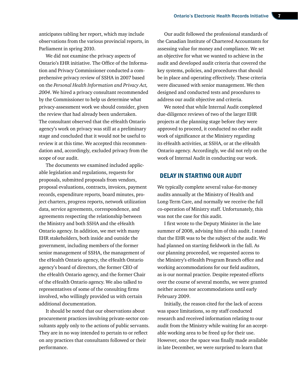<span id="page-8-0"></span>anticipates tabling her report, which may include observations from the various provincial reports, in Parliament in spring 2010.

We did not examine the privacy aspects of Ontario's EHR initiative. The Office of the Information and Privacy Commissioner conducted a comprehensive privacy review of SSHA in 2007 based on the *Personal Health Information and Privacy Act, 2004*. We hired a privacy consultant recommended by the Commissioner to help us determine what privacy-assessment work we should consider, given the review that had already been undertaken. The consultant observed that the eHealth Ontario agency's work on privacy was still at a preliminary stage and concluded that it would not be useful to review it at this time. We accepted this recommendation and, accordingly, excluded privacy from the scope of our audit.

The documents we examined included applicable legislation and regulations, requests for proposals, submitted proposals from vendors, proposal evaluations, contracts, invoices, payment records, expenditure reports, board minutes, project charters, progress reports, network utilization data, service agreements, correspondence, and agreements respecting the relationship between the Ministry and both SSHA and the eHealth Ontario agency. In addition, we met with many EHR stakeholders, both inside and outside the government, including members of the former senior management of SSHA, the management of the eHealth Ontario agency, the eHealth Ontario agency's board of directors, the former CEO of the eHealth Ontario agency, and the former Chair of the eHealth Ontario agency. We also talked to representatives of some of the consulting firms involved, who willingly provided us with certain additional documentation.

It should be noted that our observations about procurement practices involving private-sector consultants apply only to the actions of public servants. They are in no way intended to pertain to or reflect on any practices that consultants followed or their performance.

Our audit followed the professional standards of the Canadian Institute of Chartered Accountants for assessing value for money and compliance. We set an objective for what we wanted to achieve in the audit and developed audit criteria that covered the key systems, policies, and procedures that should be in place and operating effectively. These criteria were discussed with senior management. We then designed and conducted tests and procedures to address our audit objective and criteria.

We noted that while Internal Audit completed due-diligence reviews of two of the larger EHR projects at the planning stage before they were approved to proceed, it conducted no other audit work of significance at the Ministry regarding its eHealth activities, at SSHA, or at the eHealth Ontario agency. Accordingly, we did not rely on the work of Internal Audit in conducting our work.

#### Delay in Starting Our Audit

We typically complete several value-for-money audits annually at the Ministry of Health and Long-Term Care, and normally we receive the full co-operation of Ministry staff. Unfortunately, this was not the case for this audit.

I first wrote to the Deputy Minister in the late summer of 2008, advising him of this audit. I stated that the EHR was to be the subject of the audit. We had planned on starting fieldwork in the fall. As our planning proceeded, we requested access to the Ministry's eHealth Program Branch office and working accommodations for our field auditors, as is our normal practice. Despite repeated efforts over the course of several months, we were granted neither access nor accommodations until early February 2009.

Initially, the reason cited for the lack of access was space limitations, so my staff conducted research and received information relating to our audit from the Ministry while waiting for an acceptable working area to be freed up for their use. However, once the space was finally made available in late December, we were surprised to learn that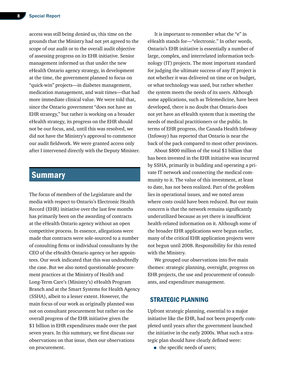<span id="page-9-0"></span>access was still being denied us, this time on the grounds that the Ministry had not yet agreed to the scope of our audit or to the overall audit objective of assessing progress on its EHR initiative. Senior management informed us that under the new eHealth Ontario agency strategy, in development at the time, the government planned to focus on "quick-win" projects—in diabetes management, medication management, and wait times—that had more immediate clinical value. We were told that, since the Ontario government "does not have an EHR strategy," but rather is working on a broader eHealth strategy, its progress on the EHR should not be our focus, and, until this was resolved, we did not have the Ministry's approval to commence our audit fieldwork. We were granted access only after I intervened directly with the Deputy Minister.

# **Summary**

The focus of members of the Legislature and the media with respect to Ontario's Electronic Health Record (EHR) initiative over the last few months has primarily been on the awarding of contracts at the eHealth Ontario agency without an open competitive process. In essence, allegations were made that contracts were sole-sourced to a number of consulting firms or individual consultants by the CEO of the eHealth Ontario agency or her appointees. Our work indicated that this was undoubtedly the case. But we also noted questionable procurement practices at the Ministry of Health and Long-Term Care's (Ministry's) eHealth Program Branch and at the Smart Systems for Health Agency (SSHA), albeit to a lesser extent. However, the main focus of our work as originally planned was not on consultant procurement but rather on the overall progress of the EHR initiative given the \$1 billion in EHR expenditures made over the past seven years. In this summary, we first discuss our observations on that issue, then our observations on procurement.

It is important to remember what the "e" in eHealth stands for—"electronic." In other words, Ontario's EHR initiative is essentially a number of large, complex, and interrelated information technology (IT) projects. The most important standard for judging the ultimate success of any IT project is not whether it was delivered on time or on budget, or what technology was used, but rather whether the system meets the needs of its users. Although some applications, such as Telemedicine, have been developed, there is no doubt that Ontario does not yet have an eHealth system that is meeting the needs of medical practitioners or the public. In terms of EHR progress, the Canada Health Infoway (Infoway) has reported that Ontario is near the back of the pack compared to most other provinces.

About \$800 million of the total \$1 billion that has been invested in the EHR initiative was incurred by SSHA, primarily in building and operating a private IT network and connecting the medical community to it. The value of this investment, at least to date, has not been realized. Part of the problem lies in operational issues, and we noted areas where costs could have been reduced. But our main concern is that the network remains significantly underutilized because as yet there is insufficient health-related information on it. Although some of the broader EHR applications were begun earlier, many of the critical EHR application projects were not begun until 2008. Responsibility for this rested with the Ministry.

We grouped our observations into five main themes: strategic planning, oversight, progress on EHR projects, the use and procurement of consultants, and expenditure management.

# Strategic Planning

Upfront strategic planning, essential to a major initiative like the EHR, had not been properly completed until years after the government launched the initiative in the early 2000s. What such a strategic plan should have clearly defined were:

• the specific needs of users;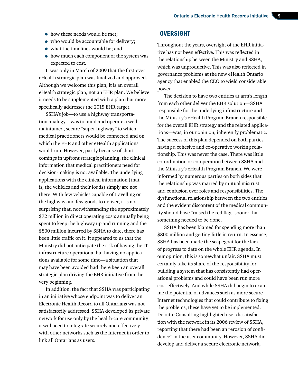- <span id="page-10-0"></span>• how these needs would be met;
- who would be accountable for delivery;
- what the timelines would be; and
- how much each component of the system was expected to cost.

It was only in March of 2009 that the first-ever eHealth strategic plan was finalized and approved. Although we welcome this plan, it is an overall eHealth strategic plan, not an EHR plan. We believe it needs to be supplemented with a plan that more specifically addresses the 2015 EHR target.

SSHA's job—to use a highway transportation analogy—was to build and operate a wellmaintained, secure "super-highway" to which medical practitioners would be connected and on which the EHR and other eHealth applications would run. However, partly because of shortcomings in upfront strategic planning, the clinical information that medical practitioners need for decision-making is not available. The underlying applications with the clinical information (that is, the vehicles and their loads) simply are not there. With few vehicles capable of travelling on the highway and few goods to deliver, it is not surprising that, notwithstanding the approximately \$72 million in direct operating costs annually being spent to keep the highway up and running and the \$800 million incurred by SSHA to date, there has been little traffic on it. It appeared to us that the Ministry did not anticipate the risk of having the IT infrastructure operational but having no applications available for some time—a situation that may have been avoided had there been an overall strategic plan driving the EHR initiative from the very beginning.

In addition, the fact that SSHA was participating in an initiative whose endpoint was to deliver an Electronic Health Record to all Ontarians was not satisfactorily addressed. SSHA developed its private network for use only by the health-care community; it will need to integrate securely and effectively with other networks such as the Internet in order to link all Ontarians as users.

#### **OVERSIGHT**

Throughout the years, oversight of the EHR initiative has not been effective. This was reflected in the relationship between the Ministry and SSHA, which was unproductive. This was also reflected in governance problems at the new eHealth Ontario agency that enabled the CEO to wield considerable power.

The decision to have two entities at arm's length from each other deliver the EHR solution—SSHA responsible for the underlying infrastructure and the Ministry's eHealth Program Branch responsible for the overall EHR strategy and the related applications—was, in our opinion, inherently problematic. The success of this plan depended on both parties having a cohesive and co-operative working relationship. This was never the case. There was little co-ordination or co-operation between SSHA and the Ministry's eHealth Program Branch. We were informed by numerous parties on both sides that the relationship was marred by mutual mistrust and confusion over roles and responsibilities. The dysfunctional relationship between the two entities and the evident discontent of the medical community should have "raised the red flag" sooner that something needed to be done.

SSHA has been blamed for spending more than \$800 million and getting little in return. In essence, SSHA has been made the scapegoat for the lack of progress to date on the whole EHR agenda. In our opinion, this is somewhat unfair. SSHA must certainly take its share of the responsibility for building a system that has consistently had operational problems and could have been run more cost-effectively. And while SSHA did begin to examine the potential of advances such as more secure Internet technologies that could contribute to fixing the problems, these have yet to be implemented. Deloitte Consulting highlighted user dissatisfaction with the network in its 2006 review of SSHA, reporting that there had been an "erosion of confidence" in the user community. However, SSHA did develop and deliver a secure electronic network,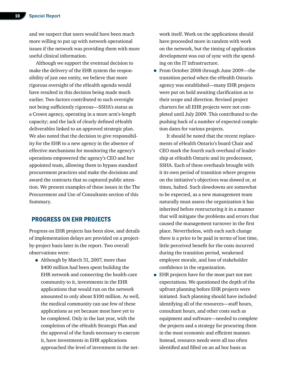<span id="page-11-0"></span>and we suspect that users would have been much more willing to put up with network operational issues if the network was providing them with more useful clinical information.

Although we support the eventual decision to make the delivery of the EHR system the responsibility of just one entity, we believe that more rigorous oversight of the eHealth agenda would have resulted in this decision being made much earlier. Two factors contributed to such oversight not being sufficiently rigorous—SSHA's status as a Crown agency, operating in a more arm's-length capacity; and the lack of clearly defined eHealth deliverables linked to an approved strategic plan. We also noted that the decision to give responsibility for the EHR to a new agency in the absence of effective mechanisms for monitoring the agency's operations empowered the agency's CEO and her appointed team, allowing them to bypass standard procurement practices and make the decisions and award the contracts that so captured public attention. We present examples of these issues in the The Procurement and Use of Consultants section of this Summary.

# Progress on EHR Projects

Progress on EHR projects has been slow, and details of implementation delays are provided on a projectby-project basis later in the report. Two overall observations were:

• Although by March 31, 2007, more than \$400 million had been spent building the EHR network and connecting the health-care community to it, investments in the EHR applications that would run on the network amounted to only about \$100 million. As well, the medical community can use few of these applications as yet because most have yet to be completed. Only in the last year, with the completion of the eHealth Strategic Plan and the approval of the funds necessary to execute it, have investments in EHR applications approached the level of investment in the network itself. Work on the applications should have proceeded more in tandem with work on the network, but the timing of application development was out of sync with the spending on the IT infrastructure.

• From October 2008 through June 2009—the transition period when the eHealth Ontario agency was established—many EHR projects were put on hold awaiting clarification as to their scope and direction. Revised project charters for all EHR projects were not completed until July 2009. This contributed to the pushing back of a number of expected completion dates for various projects.

It should be noted that the recent replacements of eHealth Ontario's board Chair and CEO mark the fourth such overhaul of leadership at eHealth Ontario and its predecessor, SSHA. Each of these overhauls brought with it its own period of transition where progress on the initiative's objectives was slowed or, at times, halted. Such slowdowns are somewhat to be expected, as a new management team naturally must assess the organization it has inherited before restructuring it in a manner that will mitigate the problems and errors that caused the management turnover in the first place. Nevertheless, with each such change there is a price to be paid in terms of lost time, little perceived benefit for the costs incurred during the transition period, weakened employee morale, and loss of stakeholder confidence in the organization.

• EHR projects have for the most part not met expectations. We questioned the depth of the upfront planning before EHR projects were initiated. Such planning should have included identifying all of the resources—staff hours, consultant hours, and other costs such as equipment and software—needed to complete the projects and a strategy for procuring them in the most economic and efficient manner. Instead, resource needs were all too often identified and filled on an ad hoc basis as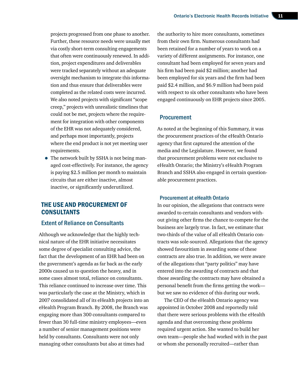<span id="page-12-0"></span>projects progressed from one phase to another. Further, these resource needs were usually met via costly short-term consulting engagements that often were continuously renewed. In addition, project expenditures and deliverables were tracked separately without an adequate oversight mechanism to integrate this information and thus ensure that deliverables were completed as the related costs were incurred. We also noted projects with significant "scope creep," projects with unrealistic timelines that could not be met, projects where the requirement for integration with other components of the EHR was not adequately considered, and perhaps most importantly, projects where the end product is not yet meeting user requirements.

• The network built by SSHA is not being managed cost-effectively. For instance, the agency is paying \$2.5 million per month to maintain circuits that are either inactive, almost inactive, or significantly underutilized.

# the use and procurement of **CONSULTANTS**

#### Extent of Reliance on Consultants

Although we acknowledge that the highly technical nature of the EHR initiative necessitates some degree of specialist consulting advice, the fact that the development of an EHR had been on the government's agenda as far back as the early 2000s caused us to question the heavy, and in some cases almost total, reliance on consultants. This reliance continued to increase over time. This was particularly the case at the Ministry, which in 2007 consolidated all of its eHealth projects into an eHealth Program Branch. By 2008, the Branch was engaging more than 300 consultants compared to fewer than 30 full-time ministry employees—even a number of senior management positions were held by consultants. Consultants were not only managing other consultants but also at times had

the authority to hire more consultants, sometimes from their own firm. Numerous consultants had been retained for a number of years to work on a variety of different assignments. For instance, one consultant had been employed for seven years and his firm had been paid \$2 million; another had been employed for six years and the firm had been paid \$2.4 million, and \$6.9 million had been paid with respect to six other consultants who have been engaged continuously on EHR projects since 2005.

#### **Procurement**

As noted at the beginning of this Summary, it was the procurement practices of the eHealth Ontario agency that first captured the attention of the media and the Legislature. However, we found that procurement problems were not exclusive to eHealth Ontario; the Ministry's eHealth Program Branch and SSHA also engaged in certain questionable procurement practices.

#### Procurement at eHealth Ontario

In our opinion, the allegations that contracts were awarded to certain consultants and vendors without giving other firms the chance to compete for the business are largely true. In fact, we estimate that two-thirds of the value of all eHealth Ontario contracts was sole-sourced. Allegations that the agency showed favouritism in awarding some of these contracts are also true. In addition, we were aware of the allegations that "party politics" may have entered into the awarding of contracts and that those awarding the contracts may have obtained a personal benefit from the firms getting the work but we saw no evidence of this during our work.

The CEO of the eHealth Ontario agency was appointed in October 2008 and reportedly told that there were serious problems with the eHealth agenda and that overcoming these problems required urgent action. She wanted to build her own team—people she had worked with in the past or whom she personally recruited—rather than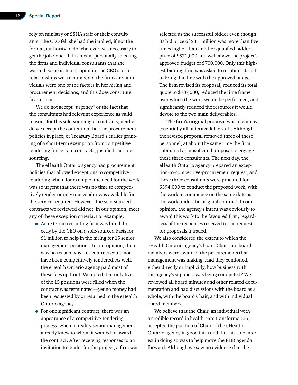rely on ministry or SSHA staff or their consultants. The CEO felt she had the implied, if not the formal, authority to do whatever was necessary to get the job done. If this meant personally selecting the firms and individual consultants that she wanted, so be it. In our opinion, the CEO's prior relationships with a number of the firms and individuals were one of the factors in her hiring and procurement decisions, and this does constitute favouritism.

We do not accept "urgency" or the fact that the consultants had relevant experience as valid reasons for this sole-sourcing of contracts; neither do we accept the contention that the procurement policies in place, or Treasury Board's earlier granting of a short-term exemption from competitive tendering for certain contracts, justified the solesourcing.

The eHealth Ontario agency had procurement policies that allowed exceptions to competitive tendering when, for example, the need for the work was so urgent that there was no time to competitively tender or only one vendor was available for the service required. However, the sole-sourced contracts we reviewed did not, in our opinion, meet any of these exception criteria. For example:

- An external recruiting firm was hired directly by the CEO on a sole-sourced basis for \$1 million to help in the hiring for 15 senior management positions. In our opinion, there was no reason why this contract could not have been competitively tendered. As well, the eHealth Ontario agency paid most of these fees up front. We noted that only five of the 15 positions were filled when the contract was terminated—yet no money had been requested by or returned to the eHealth Ontario agency.
- For one significant contract, there was an appearance of a competitive-tendering process, when in reality senior management already knew to whom it wanted to award the contract. After receiving responses to an invitation to tender for the project, a firm was

selected as the successful bidder even though its bid price of \$3.1 million was more than five times higher than another qualified bidder's price of \$570,000 and well above the project's approved budget of \$700,000. Only this highest-bidding firm was asked to resubmit its bid to bring it in line with the approved budget. The firm revised its proposal, reduced its total quote to \$737,000, reduced the time frame over which the work would be performed, and significantly reduced the resources it would devote to the two main deliverables.

The firm's original proposal was to employ essentially all of its available staff. Although the revised proposal removed three of these personnel, at about the same time the firm submitted an unsolicited proposal to engage these three consultants. The next day, the eHealth Ontario agency prepared an exception-to-competitive-procurement request, and these three consultants were procured for \$594,000 to conduct the proposed work, with the work to commence on the same date as the work under the original contract. In our opinion, the agency's intent was obviously to award this work to the favoured firm, regardless of the responses received to the request for proposals it issued.

We also considered the extent to which the eHealth Ontario agency's board Chair and board members were aware of the procurements that management was making. Had they condoned, either directly or implicitly, how business with the agency's suppliers was being conducted? We reviewed all board minutes and other related documentation and had discussions with the board as a whole, with the board Chair, and with individual board members.

We believe that the Chair, an individual with a credible record in health-care transformation, accepted the position of Chair of the eHealth Ontario agency in good faith and that his sole interest in doing so was to help move the EHR agenda forward. Although we saw no evidence that the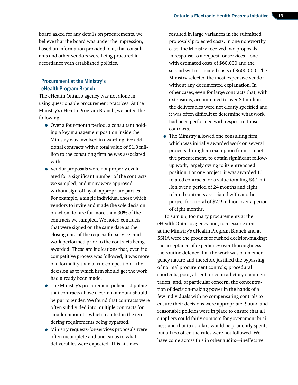<span id="page-14-0"></span>board asked for any details on procurements, we believe that the board was under the impression, based on information provided to it, that consultants and other vendors were being procured in accordance with established policies.

## Procurement at the Ministry's eHealth Program Branch

The eHealth Ontario agency was not alone in using questionable procurement practices. At the Ministry's eHealth Program Branch, we noted the following:

- Over a four-month period, a consultant holding a key management position inside the Ministry was involved in awarding five additional contracts with a total value of \$1.3 million to the consulting firm he was associated with.
- Vendor proposals were not properly evaluated for a significant number of the contracts we sampled, and many were approved without sign-off by all appropriate parties. For example, a single individual chose which vendors to invite and made the sole decision on whom to hire for more than 30% of the contracts we sampled. We noted contracts that were signed on the same date as the closing date of the request for service, and work performed prior to the contracts being awarded. These are indications that, even if a competitive process was followed, it was more of a formality than a true competition—the decision as to which firm should get the work had already been made.
- The Ministry's procurement policies stipulate that contracts above a certain amount should be put to tender. We found that contracts were often subdivided into multiple contracts for smaller amounts, which resulted in the tendering requirements being bypassed.
- Ministry requests-for-services proposals were often incomplete and unclear as to what deliverables were expected. This at times

resulted in large variances in the submitted proposals' projected costs. In one noteworthy case, the Ministry received two proposals in response to a request for services—one with estimated costs of \$60,000 and the second with estimated costs of \$600,000. The Ministry selected the most expensive vendor without any documented explanation. In other cases, even for large contracts that, with extensions, accumulated to over \$1 million, the deliverables were not clearly specified and it was often difficult to determine what work had been performed with respect to those contracts.

• The Ministry allowed one consulting firm, which was initially awarded work on several projects through an exemption from competitive procurement, to obtain significant followup work, largely owing to its entrenched position. For one project, it was awarded 10 related contracts for a value totalling \$4.1 million over a period of 24 months and eight related contracts associated with another project for a total of \$2.9 million over a period of eight months.

To sum up, too many procurements at the eHealth Ontario agency and, to a lesser extent, at the Ministry's eHealth Program Branch and at SSHA were the product of rushed decision-making; the acceptance of expediency over thoroughness; the routine defence that the work was of an emergency nature and therefore justified the bypassing of normal procurement controls; procedural shortcuts; poor, absent, or contradictory documentation; and, of particular concern, the concentration of decision-making power in the hands of a few individuals with no compensating controls to ensure their decisions were appropriate. Sound and reasonable policies were in place to ensure that all suppliers could fairly compete for government business and that tax dollars would be prudently spent, but all too often the rules were not followed. We have come across this in other audits—ineffective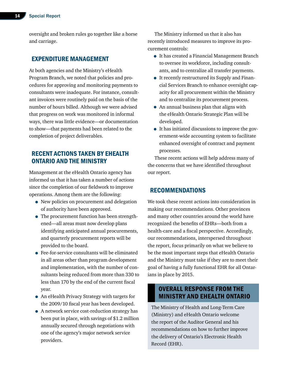<span id="page-15-0"></span>oversight and broken rules go together like a horse and carriage.

# Expenditure Management

At both agencies and the Ministry's eHealth Program Branch, we noted that policies and procedures for approving and monitoring payments to consultants were inadequate. For instance, consultant invoices were routinely paid on the basis of the number of hours billed. Although we were advised that progress on work was monitored in informal ways, there was little evidence—or documentation to show—that payments had been related to the completion of project deliverables.

# Recent Actions Taken by eHealth Ontario and the Ministry

Management at the eHealth Ontario agency has informed us that it has taken a number of actions since the completion of our fieldwork to improve operations. Among them are the following:

- New policies on procurement and delegation of authority have been approved.
- The procurement function has been strengthened—all areas must now develop plans identifying anticipated annual procurements, and quarterly procurement reports will be provided to the board.
- Fee-for-service consultants will be eliminated in all areas other than program development and implementation, with the number of consultants being reduced from more than 330 to less than 170 by the end of the current fiscal year.
- An eHealth Privacy Strategy with targets for the 2009/10 fiscal year has been developed.
- A network service cost-reduction strategy has been put in place, with savings of \$1.2 million annually secured through negotiations with one of the agency's major network service providers.

The Ministry informed us that it also has recently introduced measures to improve its procurement controls:

- It has created a Financial Management Branch to oversee its workforce, including consultants, and to centralize all transfer payments.
- It recently restructured its Supply and Financial Services Branch to enhance oversight capacity for all procurement within the Ministry and to centralize its procurement process.
- An annual business plan that aligns with the eHealth Ontario Strategic Plan will be developed.
- It has initiated discussions to improve the government-wide accounting system to facilitate enhanced oversight of contract and payment processes.

These recent actions will help address many of the concerns that we have identified throughout our report.

# Recommendations

We took these recent actions into consideration in making our recommendations. Other provinces and many other countries around the world have recognized the benefits of EHRs—both from a health-care and a fiscal perspective. Accordingly, our recommendations, interspersed throughout the report, focus primarily on what we believe to be the most important steps that eHealth Ontario and the Ministry must take if they are to meet their goal of having a fully functional EHR for all Ontarians in place by 2015.

# overall response from the ministry and ehealth ontario

The Ministry of Health and Long-Term Care (Ministry) and eHealth Ontario welcome the report of the Auditor General and his recommendations on how to further improve the delivery of Ontario's Electronic Health Record (EHR).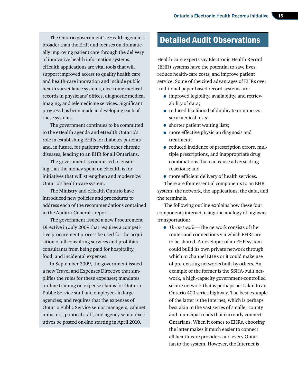<span id="page-16-0"></span>The Ontario government's eHealth agenda is broader than the EHR and focuses on dramatically improving patient care through the delivery of innovative health information systems. eHealth applications are vital tools that will support improved access to quality health care and health-care innovation and include public health surveillance systems, electronic medical records in physicians' offices, diagnostic medical imaging, and telemedicine services. Significant progress has been made in developing each of these systems.

The government continues to be committed to the eHealth agenda and eHealth Ontario's role in establishing EHRs for diabetes patients and, in future, for patients with other chronic diseases, leading to an EHR for all Ontarians.

The government is committed to ensuring that the money spent on eHealth is for initiatives that will strengthen and modernize Ontario's health-care system.

The Ministry and eHealth Ontario have introduced new policies and procedures to address each of the recommendations contained in the Auditor General's report.

The government issued a new Procurement Directive in July 2009 that requires a competitive procurement process be used for the acquisition of all consulting services and prohibits consultants from being paid for hospitality, food, and incidental expenses.

In September 2009, the government issued a new Travel and Expenses Directive that simplifies the rules for these expenses; mandates on-line training on expense claims for Ontario Public Service staff and employees in large agencies; and requires that the expenses of Ontario Public Service senior managers, cabinet ministers, political staff, and agency senior executives be posted on-line starting in April 2010.

# Detailed Audit Observations

Health-care experts say Electronic Health Record (EHR) systems have the potential to save lives, reduce health-care costs, and improve patient service. Some of the cited advantages of EHRs over traditional paper-based record systems are:

- improved legibility, availability, and retrievability of data;
- reduced likelihood of duplicate or unnecessary medical tests;
- shorter patient waiting lists;
- more effective physician diagnosis and treatment;
- reduced incidence of prescription errors, multiple prescriptions, and inappropriate drug combinations that can cause adverse drug reactions; and
- more efficient delivery of health services.

There are four essential components to an EHR system: the network, the applications, the data, and the terminals.

The following outline explains how these four components interact, using the analogy of highway transportation:

• *The network*—The network consists of the routes and connections via which EHRs are to be shared. A developer of an EHR system could build its own private network through which to channel EHRs or it could make use of pre-existing networks built by others. An example of the former is the SSHA-built network, a high-capacity government-controlled secure network that is perhaps best akin to an Ontario 400 series highway. The best example of the latter is the Internet, which is perhaps best akin to the vast series of smaller county and municipal roads that currently connect Ontarians. When it comes to EHRs, choosing the latter makes it much easier to connect all health-care providers and every Ontarian to the system. However, the Internet is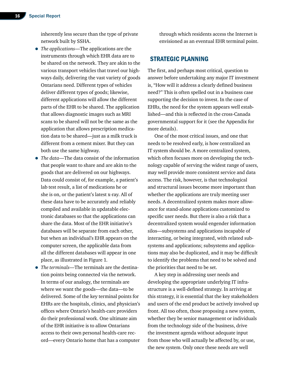<span id="page-17-0"></span>inherently less secure than the type of private network built by SSHA.

- *The applications*—The applications are the instruments through which EHR data are to be shared on the network. They are akin to the various transport vehicles that travel our highways daily, delivering the vast variety of goods Ontarians need. Different types of vehicles deliver different types of goods; likewise, different applications will allow the different parts of the EHR to be shared. The application that allows diagnostic images such as MRI scans to be shared will not be the same as the application that allows prescription medication data to be shared—just as a milk truck is different from a cement mixer. But they can both use the same highway.
- *The data*—The data consist of the information that people want to share and are akin to the goods that are delivered on our highways. Data could consist of, for example, a patient's lab test result, a list of medications he or she is on, or the patient's latest x-ray. All of these data have to be accurately and reliably compiled and available in updatable electronic databases so that the applications can share the data. Most of the EHR initiative's databases will be separate from each other, but when an individual's EHR appears on the computer screen, the applicable data from all the different databases will appear in one place, as illustrated in Figure 1.
- *The terminals*—The terminals are the destination points being connected via the network. In terms of our analogy, the terminals are where we want the goods—the data—to be delivered. Some of the key terminal points for EHRs are the hospitals, clinics, and physician's offices where Ontario's health-care providers do their professional work. One ultimate aim of the EHR initiative is to allow Ontarians access to their own personal health-care record—every Ontario home that has a computer

through which residents access the Internet is envisioned as an eventual EHR terminal point.

# Strategic Planning

The first, and perhaps most critical, question to answer before undertaking any major IT investment is, "How will it address a clearly defined business need?" This is often spelled out in a business case supporting the decision to invest. In the case of EHRs, the need for the system appears well established—and this is reflected in the cross-Canada governmental support for it (see the Appendix for more details).

One of the most critical issues, and one that needs to be resolved early, is how centralized an IT system should be. A more centralized system, which often focuses more on developing the technology capable of serving the widest range of users, may well provide more consistent service and data access. The risk, however, is that technological and structural issues become more important than whether the applications are truly meeting user needs. A decentralized system makes more allowance for stand-alone applications customized to specific user needs. But there is also a risk that a decentralized system would engender information silos—subsystems and applications incapable of interacting, or being integrated, with related subsystems and applications; subsystems and applications may also be duplicated, and it may be difficult to identify the problems that need to be solved and the priorities that need to be set.

A key step in addressing user needs and developing the appropriate underlying IT infrastructure is a well-defined strategy. In arriving at this strategy, it is essential that the key stakeholders and users of the end product be actively involved up front. All too often, those proposing a new system, whether they be senior management or individuals from the technology side of the business, drive the investment agenda without adequate input from those who will actually be affected by, or use, the new system. Only once these needs are well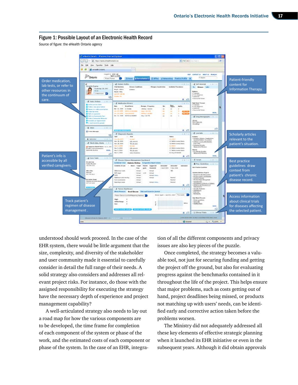#### Figure 1: Possible Layout of an Electronic Health Record

Source of figure: the eHealth Ontario agency



understood should work proceed. In the case of the EHR system, there would be little argument that the size, complexity, and diversity of the stakeholder and user community made it essential to carefully consider in detail the full range of their needs. A solid strategy also considers and addresses all relevant project risks. For instance, do those with the assigned responsibility for executing the strategy have the necessary depth of experience and project management capability?

A well-articulated strategy also needs to lay out a road map for how the various components are to be developed, the time frame for completion of each component of the system or phase of the work, and the estimated costs of each component or phase of the system. In the case of an EHR, integration of all the different components and privacy issues are also key pieces of the puzzle.

Once completed, the strategy becomes a valuable tool, not just for securing funding and getting the project off the ground, but also for evaluating progress against the benchmarks contained in it throughout the life of the project. This helps ensure that major problems, such as costs getting out of hand, project deadlines being missed, or products not matching up with users' needs, can be identified early and corrective action taken before the problems worsen.

The Ministry did not adequately addressed all these key elements of effective strategic planning when it launched its EHR initiative or even in the subsequent years. Although it did obtain approvals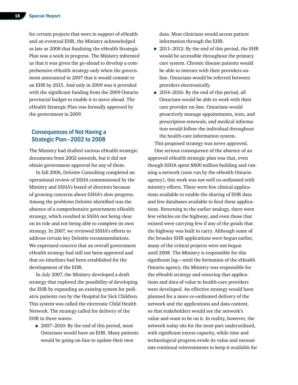<span id="page-19-0"></span>for certain projects that were in support of eHealth and an eventual EHR, the Ministry acknowledged as late as 2008 that finalizing the eHealth Strategic Plan was a work in progress. The Ministry informed us that it was given the go-ahead to develop a comprehensive eHealth strategy only when the government announced in 2007 that it would commit to an EHR by 2015. And only in 2009 was it provided with the significant funding from the 2009 Ontario provincial budget to enable it to move ahead. The eHealth Strategic Plan was formally approved by the government in 2009.

# Consequences of Not Having a Strategic Plan—2002 to 2008

The Ministry had drafted various eHealth strategic documents from 2002 onwards, but it did not obtain government approval for any of them.

In fall 2006, Deloitte Consulting completed an operational review of SSHA commissioned by the Ministry and SSHA's board of directors because of growing concerns about SSHA's slow progress. Among the problems Deloitte identified was the absence of a comprehensive government eHealth strategy, which resulted in SSHA not being clear on its role and not being able to complete its own strategy. In 2007, we reviewed SSHA's efforts to address certain key Deloitte recommendations. We expressed concern that an overall government eHealth strategy had still not been approved and that no timelines had been established for the development of the EHR.

In July 2007, the Ministry developed a draft strategy that explored the possibility of developing the EHR by expanding an existing system for pediatric patients run by the Hospital for Sick Children. This system was called the electronic Child Health Network. The strategy called for delivery of the EHR in three waves:

• 2007–2010: By the end of this period, most Ontarians would have an EHR. Many patients would be going on-line to update their own

data. Most clinicians would access patient information through the EHR.

- 2011–2012: By the end of this period, the EHR would be accessible throughout the primary care system. Chronic disease patients would be able to interact with their providers online. Ontarians would be referred between providers electronically.
- 2014–2016: By the end of this period, all Ontarians would be able to work with their care provider on-line. Ontarians would proactively manage appointments, tests, and prescription renewals, and medical information would follow the individual throughout the health-care information system.

This proposed strategy was never approved. One serious consequence of the absence of an approved eHealth strategic plan was that, even though SSHA spent \$800 million building and running a network (now run by the eHealth Ontario agency), this work was not well co-ordinated with ministry efforts. There were few clinical applications available to enable the sharing of EHR data and few databases available to feed these applications. Returning to the earlier analogy, there were few vehicles on the highway, and even those that existed were carrying few if any of the goods that the highway was built to carry. Although some of the broader EHR applications were begun earlier, many of the critical projects were not begun until 2008. The Ministry is responsible for this significant lag—until the formation of the eHealth Ontario agency, the Ministry was responsible for the eHealth strategy and ensuring that applications and data of value to health-care providers were developed. An effective strategy would have planned for a more co-ordinated delivery of the network and the applications and data content, so that stakeholders would see the network's value and want to be on it. In reality, however, the network today sits for the most part underutilized, with significant excess capacity, while time and technological progress erode its value and necessitate continual reinvestments to keep it available for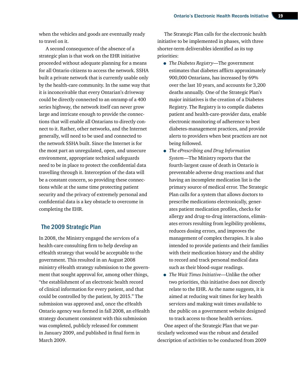<span id="page-20-0"></span>when the vehicles and goods are eventually ready to travel on it.

A second consequence of the absence of a strategic plan is that work on the EHR initiative proceeded without adequate planning for a means for all Ontario citizens to access the network. SSHA built a private network that is currently usable only by the health-care community. In the same way that it is inconceivable that every Ontarian's driveway could be directly connected to an onramp of a 400 series highway, the network itself can never grow large and intricate enough to provide the connections that will enable all Ontarians to directly connect to it. Rather, other networks, and the Internet generally, will need to be used and connected to the network SSHA built. Since the Internet is for the most part an unregulated, open, and unsecure environment, appropriate technical safeguards need to be in place to protect the confidential data travelling through it. Interception of the data will be a constant concern, so providing these connections while at the same time protecting patient security and the privacy of extremely personal and confidential data is a key obstacle to overcome in completing the EHR.

#### The 2009 Strategic Plan

In 2008, the Ministry engaged the services of a health-care consulting firm to help develop an eHealth strategy that would be acceptable to the government. This resulted in an August 2008 ministry eHealth strategy submission to the government that sought approval for, among other things, "the establishment of an electronic health record of clinical information for every patient, and that could be controlled by the patient, by 2015." The submission was approved and, once the eHealth Ontario agency was formed in fall 2008, an eHealth strategy document consistent with this submission was completed, publicly released for comment in January 2009, and published in final form in March 2009.

The Strategic Plan calls for the electronic health initiative to be implemented in phases, with three shorter-term deliverables identified as its top priorities:

- *The Diabetes Registry*—The government estimates that diabetes afflicts approximately 900,000 Ontarians, has increased by 69% over the last 10 years, and accounts for 3,200 deaths annually. One of the Strategic Plan's major initiatives is the creation of a Diabetes Registry. The Registry is to compile diabetes patient and health-care-provider data, enable electronic monitoring of adherence to best diabetes-management practices, and provide alerts to providers when best practices are not being followed.
- *The ePrescribing and Drug Information System*—The Ministry reports that the fourth-largest cause of death in Ontario is preventable adverse drug reactions and that having an incomplete medication list is the primary source of medical error. The Strategic Plan calls for a system that allows doctors to prescribe medications electronically, generates patient medication profiles, checks for allergy and drug-to-drug interactions, eliminates errors resulting from legibility problems, reduces dosing errors, and improves the management of complex therapies. It is also intended to provide patients and their families with their medication history and the ability to record and track personal medical data such as their blood-sugar readings.
- *The Wait Times Initiative*—Unlike the other two priorities, this initiative does not directly relate to the EHR. As the name suggests, it is aimed at reducing wait times for key health services and making wait times available to the public on a government website designed to track access to those health services.

One aspect of the Strategic Plan that we particularly welcomed was the robust and detailed description of activities to be conducted from 2009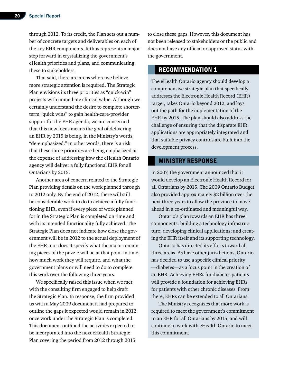through 2012. To its credit, the Plan sets out a number of concrete targets and deliverables on each of the key EHR components. It thus represents a major step forward in crystallizing the government's eHealth priorities and plans, and communicating these to stakeholders.

That said, there are areas where we believe more strategic attention is required. The Strategic Plan envisions its three priorities as "quick-win" projects with immediate clinical value. Although we certainly understand the desire to complete shorterterm "quick wins" to gain health-care-provider support for the EHR agenda, we are concerned that this new focus means the goal of delivering an EHR by 2015 is being, in the Ministry's words, "de-emphasized." In other words, there is a risk that these three priorities are being emphasized at the expense of addressing how the eHealth Ontario agency will deliver a fully functional EHR for all Ontarians by 2015.

Another area of concern related to the Strategic Plan providing details on the work planned through to 2012 only. By the end of 2012, there will still be considerable work to do to achieve a fully functioning EHR, even if every piece of work planned for in the Strategic Plan is completed on time and with its intended functionality fully achieved. The Strategic Plan does not indicate how close the government will be in 2012 to the actual deployment of the EHR; nor does it specify what the major remaining pieces of the puzzle will be at that point in time, how much work they will require, and what the government plans or will need to do to complete this work over the following three years.

We specifically raised this issue when we met with the consulting firm engaged to help draft the Strategic Plan. In response, the firm provided us with a May 2009 document it had prepared to outline the gaps it expected would remain in 2012 once work under the Strategic Plan is completed. This document outlined the activities expected to be incorporated into the next eHealth Strategic Plan covering the period from 2012 through 2015

to close these gaps. However, this document has not been released to stakeholders or the public and does not have any official or approved status with the government.

# Recommendation 1

The eHealth Ontario agency should develop a comprehensive strategic plan that specifically addresses the Electronic Health Record (EHR) target, takes Ontario beyond 2012, and lays out the path for the implementation of the EHR by 2015. The plan should also address the challenge of ensuring that the disparate EHR applications are appropriately integrated and that suitable privacy controls are built into the development process.

### ministry response

In 2007, the government announced that it would develop an Electronic Health Record for all Ontarians by 2015. The 2009 Ontario Budget also provided approximately \$2 billion over the next three years to allow the province to move ahead in a co-ordinated and meaningful way.

Ontario's plan towards an EHR has three components: building a technology infrastructure; developing clinical applications; and creating the EHR itself and its supporting technology.

Ontario has directed its efforts toward all three areas. As have other jurisdictions, Ontario has decided to use a specific clinical priority —diabetes—as a focus point in the creation of an EHR. Achieving EHRs for diabetes patients will provide a foundation for achieving EHRs for patients with other chronic diseases. From there, EHRs can be extended to all Ontarians.

The Ministry recognizes that more work is required to meet the government's commitment to an EHR for all Ontarians by 2015, and will continue to work with eHealth Ontario to meet this commitment.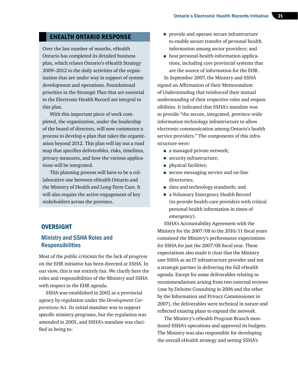# <span id="page-22-0"></span>ehealth ontario response

Over the last number of months, eHealth Ontario has completed its detailed business plan, which relates Ontario's eHealth Strategy 2009–2012 to the daily activities of the organization that are under way in support of system development and operations. Foundational priorities in the Strategic Plan that are essential to the Electronic Health Record are integral to this plan.

With this important piece of work completed, the organization, under the leadership of the board of directors, will now commence a process to develop a plan that takes the organization beyond 2012. This plan will lay out a road map that specifies deliverables, risks, timelines, privacy measures, and how the various applications will be integrated.

This planning process will have to be a collaborative one between eHealth Ontario and the Ministry of Health and Long-Term Care. It will also require the active engagement of key stakeholders across the province.

# **OVERSIGHT**

# Ministry and SSHA Roles and Responsibilities

Most of the public criticism for the lack of progress on the EHR initiative has been directed at SSHA. In our view, this is not entirely fair. We clarify here the roles and responsibilities of the Ministry and SSHA with respect to the EHR agenda.

SSHA was established in 2002 as a provincial agency by regulation under the *Development Corporations Act*. Its initial mandate was to support specific ministry programs, but the regulation was amended in 2005, and SSHA's mandate was clarified as being to:

- provide and operate secure infrastructure to enable secure transfer of personal health information among sector providers; and
- host personal-health-information applications, including core provincial systems that are the source of information for the EHR.

In September 2007, the Ministry and SSHA signed an Affirmation of their Memorandum of Understanding that reinforced their mutual understanding of their respective roles and responsibilities. It indicated that SSHA's mandate was to provide "the secure, integrated, province-wide information technology infrastructure to allow electronic communication among Ontario's health service providers." The components of this infrastructure were:

- a managed private network;
- security infrastructure;
- physical facilities;
- secure messaging service and on-line directories;
- data and technology standards; and
- a Voluntary Emergency Health Record (to provide health-care providers with critical personal health information in times of emergency).

SSHA's Accountability Agreement with the Ministry for the 2007/08 to the 2010/11 fiscal years contained the Ministry's performance expectations for SSHA for just the 2007/08 fiscal year. These expectations also made it clear that the Ministry saw SSHA as an IT infrastructure provider and not a strategic partner in delivering the full eHealth agenda. Except for some deliverables relating to recommendations arising from two external reviews (one by Deloitte Consulting in 2006 and the other by the Information and Privacy Commissioner in 2007), the deliverables were technical in nature and reflected existing plans to expand the network.

The Ministry's eHealth Program Branch monitored SSHA's operations and approved its budgets. The Ministry was also responsible for developing the overall eHealth strategy and setting SSHA's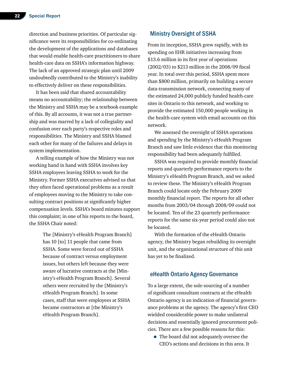<span id="page-23-0"></span>direction and business priorities. Of particular significance were its responsibilities for co-ordinating the development of the applications and databases that would enable health-care practitioners to share health-care data on SSHA's information highway. The lack of an approved strategic plan until 2009 undoubtedly contributed to the Ministry's inability to effectively deliver on these responsibilities.

It has been said that shared accountability means no accountability; the relationship between the Ministry and SSHA may be a textbook example of this. By all accounts, it was not a true partnership and was marred by a lack of collegiality and confusion over each party's respective roles and responsibilities. The Ministry and SSHA blamed each other for many of the failures and delays in system implementation.

A telling example of how the Ministry was not working hand in hand with SSHA involves key SSHA employees leaving SSHA to work for the Ministry. Former SSHA executives advised us that they often faced operational problems as a result of employees moving to the Ministry to take consulting contract positions at significantly higher compensation levels. SSHA's board minutes support this complaint; in one of his reports to the board, the SSHA Chair noted:

> The [Ministry's eHealth Program Branch] has 10 [to] 11 people that came from SSHA. Some were forced out of SSHA because of contract versus employment issues, but others left because they were aware of lucrative contracts at the [Ministry's eHealth Program Branch]. Several others were recruited by the [Ministry's eHealth Program Branch]. In some cases, staff that were employees at SSHA became contractors at [the Ministry's eHealth Program Branch].

#### Ministry Oversight of SSHA

From its inception, SSHA grew rapidly, with its spending on EHR initiatives increasing from \$13.6 million in its first year of operations (2002/03) to \$213 million in the 2008/09 fiscal year. In total over this period, SSHA spent more than \$800 million, primarily on building a secure data-transmission network, connecting many of the estimated 24,000 publicly funded health-care sites in Ontario to this network, and working to provide the estimated 150,000 people working in the health-care system with email accounts on this network.

We assessed the oversight of SSHA operations and spending by the Ministry's eHealth Program Branch and saw little evidence that this monitoring responsibility had been adequately fulfilled.

SSHA was required to provide monthly financial reports and quarterly performance reports to the Ministry's eHealth Program Branch, and we asked to review these. The Ministry's eHealth Program Branch could locate only the February 2009 monthly financial report. The reports for all other months from 2003/04 through 2008/09 could not be located. Ten of the 23 quarterly performance reports for the same six-year period could also not be located.

With the formation of the eHealth Ontario agency, the Ministry began rebuilding its oversight unit, and the organizational structure of this unit has yet to be finalized.

#### eHealth Ontario Agency Governance

To a large extent, the sole-sourcing of a number of significant consultant contracts at the eHealth Ontario agency is an indication of financial governance problems at the agency. The agency's first CEO wielded considerable power to make unilateral decisions and essentially ignored procurement policies. There are a few possible reasons for this:

• The board did not adequately oversee the CEO's actions and decisions in this area. It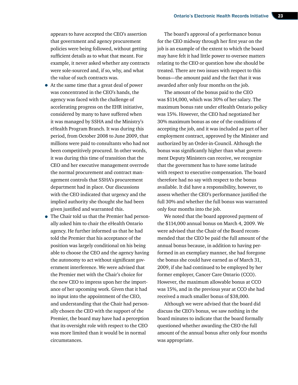appears to have accepted the CEO's assertion that government and agency procurement policies were being followed, without getting sufficient details as to what that meant. For example, it never asked whether any contracts were sole-sourced and, if so, why, and what the value of such contracts was.

- At the same time that a great deal of power was concentrated in the CEO's hands, the agency was faced with the challenge of accelerating progress on the EHR initiative, considered by many to have suffered when it was managed by SSHA and the Ministry's eHealth Program Branch. It was during this period, from October 2008 to June 2009, that millions were paid to consultants who had not been competitively procured. In other words, it was during this time of transition that the CEO and her executive management overrode the normal procurement and contract management controls that SSHA's procurement department had in place. Our discussions with the CEO indicated that urgency and the implied authority she thought she had been given justified and warranted this.
- The Chair told us that the Premier had personally asked him to chair the eHealth Ontario agency. He further informed us that he had told the Premier that his acceptance of the position was largely conditional on his being able to choose the CEO and the agency having the autonomy to act without significant government interference. We were advised that the Premier met with the Chair's choice for the new CEO to impress upon her the importance of her upcoming work. Given that it had no input into the appointment of the CEO, and understanding that the Chair had personally chosen the CEO with the support of the Premier, the board may have had a perception that its oversight role with respect to the CEO was more limited than it would be in normal circumstances.

The board's approval of a performance bonus for the CEO midway through her first year on the job is an example of the extent to which the board may have felt it had little power to oversee matters relating to the CEO or question how she should be treated. There are two issues with respect to this bonus—the amount paid and the fact that it was awarded after only four months on the job.

The amount of the bonus paid to the CEO was \$114,000, which was 30% of her salary. The maximum bonus rate under eHealth Ontario policy was 15%. However, the CEO had negotiated her 30% maximum bonus as one of the conditions of accepting the job, and it was included as part of her employment contract, approved by the Minister and authorized by an Order-in-Council. Although the bonus was significantly higher than what government Deputy Ministers can receive, we recognize that the government has to have some latitude with respect to executive compensation. The board therefore had no say with respect to the bonus available. It did have a responsibility, however, to assess whether the CEO's performance justified the full 30% and whether the full bonus was warranted only four months into the job.

We noted that the board approved payment of the \$114,000 annual bonus on March 4, 2009. We were advised that the Chair of the Board recommended that the CEO be paid the full amount of the annual bonus because, in addition to having performed in an exemplary manner, she had foregone the bonus she could have earned as of March 31, 2009, if she had continued to be employed by her former employer, Cancer Care Ontario (CCO). However, the maximum allowable bonus at CCO was 15%, and in the previous year at CCO she had received a much smaller bonus of \$38,000.

Although we were advised that the board did discuss the CEO's bonus, we saw nothing in the board minutes to indicate that the board formally questioned whether awarding the CEO the full amount of the annual bonus after only four months was appropriate.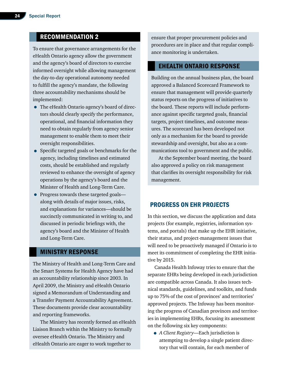# <span id="page-25-0"></span>Recommendation 2

To ensure that governance arrangements for the eHealth Ontario agency allow the government and the agency's board of directors to exercise informed oversight while allowing management the day-to-day operational autonomy needed to fulfill the agency's mandate, the following three accountability mechanisms should be implemented:

- The eHealth Ontario agency's board of directors should clearly specify the performance, operational, and financial information they need to obtain regularly from agency senior management to enable them to meet their oversight responsibilities.
- Specific targeted goals or benchmarks for the agency, including timelines and estimated costs, should be established and regularly reviewed to enhance the oversight of agency operations by the agency's board and the Minister of Health and Long-Term Care.
- Progress towards these targeted goals along with details of major issues, risks, and explanations for variances—should be succinctly communicated in writing to, and discussed in periodic briefings with, the agency's board and the Minister of Health and Long-Term Care.

# ministry response

The Ministry of Health and Long-Term Care and the Smart Systems for Health Agency have had an accountability relationship since 2003. In April 2009, the Ministry and eHealth Ontario signed a Memorandum of Understanding and a Transfer Payment Accountability Agreement. These documents provide clear accountability and reporting frameworks.

The Ministry has recently formed an eHealth Liaison Branch within the Ministry to formally oversee eHealth Ontario. The Ministry and eHealth Ontario are eager to work together to

ensure that proper procurement policies and procedures are in place and that regular compliance monitoring is undertaken.

### ehealth ontario response

Building on the annual business plan, the board approved a Balanced Scorecard Framework to ensure that management will provide quarterly status reports on the progress of initiatives to the board. These reports will include performance against specific targeted goals, financial targets, project timelines, and outcome measures. The scorecard has been developed not only as a mechanism for the board to provide stewardship and oversight, but also as a communications tool to government and the public.

At the September board meeting, the board also approved a policy on risk management that clarifies its oversight responsibility for risk management.

# Progress on EHR Projects

In this section, we discuss the application and data projects (for example, registries, information systems, and portals) that make up the EHR initiative, their status, and project-management issues that will need to be proactively managed if Ontario is to meet its commitment of completing the EHR initiative by 2015.

Canada Health Infoway tries to ensure that the separate EHRs being developed in each jurisdiction are compatible across Canada. It also issues technical standards, guidelines, and toolkits, and funds up to 75% of the cost of provinces' and territories' approved projects. The Infoway has been monitoring the progress of Canadian provinces and territories in implementing EHRs, focusing its assessment on the following six key components:

• *A Client Registry*—Each jurisdiction is attempting to develop a single patient directory that will contain, for each member of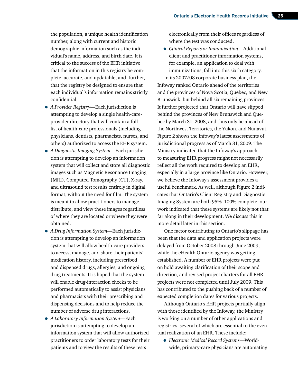the population, a unique health identification number, along with current and historic demographic information such as the individual's name, address, and birth date. It is critical to the success of the EHR initiative that the information in this registry be complete, accurate, and updatable, and, further, that the registry be designed to ensure that each individual's information remains strictly confidential.

- *A Provider Registry*—Each jurisdiction is attempting to develop a single health-careprovider directory that will contain a full list of health-care professionals (including physicians, dentists, pharmacists, nurses, and others) authorized to access the EHR system.
- *A Diagnostic Imaging System*—Each jurisdiction is attempting to develop an information system that will collect and store all diagnostic images such as Magnetic Resonance Imaging (MRI), Computed Tomography (CT), X-ray, and ultrasound test results entirely in digital format, without the need for film. The system is meant to allow practitioners to manage, distribute, and view these images regardless of where they are located or where they were obtained.
- *A Drug Information System*—Each jurisdiction is attempting to develop an information system that will allow health-care providers to access, manage, and share their patients' medication history, including prescribed and dispensed drugs, allergies, and ongoing drug treatments. It is hoped that the system will enable drug-interaction checks to be performed automatically to assist physicians and pharmacists with their prescribing and dispensing decisions and to help reduce the number of adverse drug interactions.
- *A Laboratory Information System*—Each jurisdiction is attempting to develop an information system that will allow authorized practitioners to order laboratory tests for their patients and to view the results of these tests

electronically from their offices regardless of where the test was conducted.

• *Clinical Reports or Immunization*—Additional client and practitioner information systems, for example, an application to deal with immunizations, fall into this sixth category.

In its 2007/08 corporate business plan, the Infoway ranked Ontario ahead of the territories and the provinces of Nova Scotia, Quebec, and New Brunswick, but behind all six remaining provinces. It further projected that Ontario will have slipped behind the provinces of New Brunswick and Quebec by March 31, 2008, and thus only be ahead of the Northwest Territories, the Yukon, and Nunavut. Figure 2 shows the Infoway's latest assessments of jurisdictional progress as of March 31, 2009. The Ministry indicated that the Infoway's approach to measuring EHR progress might not necessarily reflect all the work required to develop an EHR, especially in a large province like Ontario. However, we believe the Infoway's assessment provides a useful benchmark. As well, although Figure 2 indicates that Ontario's Client Registry and Diagnostic Imaging System are both 95%–100% complete, our work indicated that these systems are likely not that far along in their development. We discuss this in more detail later in this section.

One factor contributing to Ontario's slippage has been that the data and application projects were delayed from October 2008 through June 2009, while the eHealth Ontario agency was getting established. A number of EHR projects were put on hold awaiting clarification of their scope and direction, and revised project charters for all EHR projects were not completed until July 2009. This has contributed to the pushing back of a number of expected completion dates for various projects.

Although Ontario's EHR projects partially align with those identified by the Infoway, the Ministry is working on a number of other applications and registries, several of which are essential to the eventual realization of an EHR. These include:

• *Electronic Medical Record Systems*—Worldwide, primary-care physicians are automating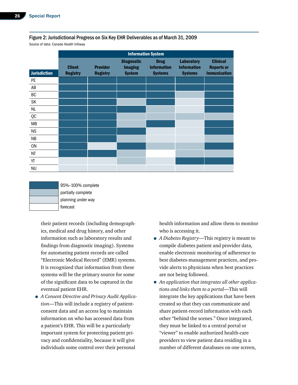#### Figure 2: Jurisdictional Progress on Six Key EHR Deliverables as of March 31, 2009

Source of data: Canada Health Infoway

|                     | <b>Information System</b> |                 |                                     |                                   |                                         |                                      |
|---------------------|---------------------------|-----------------|-------------------------------------|-----------------------------------|-----------------------------------------|--------------------------------------|
|                     | <b>Client</b>             | <b>Provider</b> | <b>Diagnostic</b><br><b>Imaging</b> | <b>Drug</b><br><b>Information</b> | <b>Laboratory</b><br><b>Information</b> | <b>Clinical</b><br><b>Reports or</b> |
| <b>Jurisdiction</b> | <b>Registry</b>           | <b>Registry</b> | <b>System</b>                       | <b>Systems</b>                    | <b>Systems</b>                          | <b>Immunization</b>                  |
| PE                  |                           |                 |                                     |                                   |                                         |                                      |
| AB                  |                           |                 |                                     |                                   |                                         |                                      |
| BC                  |                           |                 |                                     |                                   |                                         |                                      |
| SK                  |                           |                 |                                     |                                   |                                         |                                      |
| <b>NL</b>           |                           |                 |                                     |                                   |                                         |                                      |
| QC                  |                           |                 |                                     |                                   |                                         |                                      |
| MB                  |                           |                 |                                     |                                   |                                         |                                      |
| <b>NS</b>           |                           |                 |                                     |                                   |                                         |                                      |
| <b>NB</b>           |                           |                 |                                     |                                   |                                         |                                      |
| <b>ON</b>           |                           |                 |                                     |                                   |                                         |                                      |
| NT                  |                           |                 |                                     |                                   |                                         |                                      |
| YT                  |                           |                 |                                     |                                   |                                         |                                      |
| <b>NU</b>           |                           |                 |                                     |                                   |                                         |                                      |

95%–100% complete partially complete planning under way forecast

their patient records (including demographics, medical and drug history, and other information such as laboratory results and findings from diagnostic imaging). Systems for automating patient records are called "Electronic Medical Record" (EMR) systems. It is recognized that information from these systems will be the primary source for some of the significant data to be captured in the eventual patient EHR.

• *A Consent Directive and Privacy Audit Application*—This will include a registry of patientconsent data and an access log to maintain information on who has accessed data from a patient's EHR. This will be a particularly important system for protecting patient privacy and confidentiality, because it will give individuals some control over their personal

health information and allow them to monitor who is accessing it.

- *A Diabetes Registry*—This registry is meant to compile diabetes patient and provider data, enable electronic monitoring of adherence to best diabetes-management practices, and provide alerts to physicians when best practices are not being followed.
- *An application that integrates all other applications and links them to a portal*—This will integrate the key applications that have been created so that they can communicate and share patient-record information with each other "behind the scenes." Once integrated, they must be linked to a central portal or "viewer" to enable authorized health-care providers to view patient data residing in a number of different databases on one screen,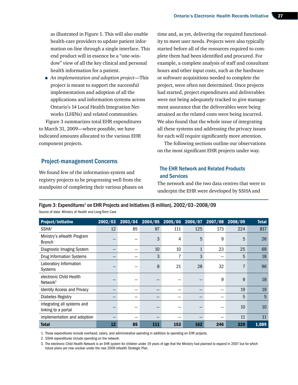<span id="page-28-0"></span>as illustrated in Figure 1. This will also enable health-care providers to update patient information on-line through a single interface. This end product will in essence be a "one-window" view of all the key clinical and personal health information for a patient.

• *An implementation and adoption project*—This project is meant to support the successful implementation and adoption of all the applications and information systems across Ontario's 14 Local Health Integration Networks (LHINs) and related communities.

Figure 3 summarizes total EHR expenditures to March 31, 2009—where possible, we have indicated amounts allocated to the various EHR component projects.

#### Project-management Concerns

We found few of the information-system and registry projects to be progressing well from the standpoint of completing their various phases on

time and, as yet, delivering the required functionality to meet user needs. Projects were also typically started before all of the resources required to complete them had been identified and procured. For example, a complete analysis of staff and consultant hours and other input costs, such as the hardware or software acquisitions needed to complete the project, were often not determined. Once projects had started, project expenditures and deliverables were not being adequately tracked to give management assurance that the deliverables were being attained as the related costs were being incurred. We also found that the whole issue of integrating all these systems and addressing the privacy issues for each will require significantly more attention.

The following sections outline our observations on the most significant EHR projects under way.

# The EHR Network and Related Products and Services

The network and the two data centres that were to underpin the EHR were developed by SSHA and

Figure 3: Expenditures<sup>1</sup> on EHR Projects and Initiatives (\$ million), 2002/03-2008/09

| <b>Project/Initiative</b>                          | 2002/03 | 2003/04 |     | 2004/05 2005/06 2006/07 2007/08 2008/09 |              |     |     | <b>Total</b> |
|----------------------------------------------------|---------|---------|-----|-----------------------------------------|--------------|-----|-----|--------------|
| SSHA <sup>2</sup>                                  | 12      | 85      | 87  | 111                                     | 125          | 173 | 224 | 817          |
| Ministry's eHealth Program<br><b>Branch</b>        |         |         | 3   | 4                                       | 5            | 9   | 5   | 26           |
| Diagnostic Imaging System                          |         |         | 10  | 10                                      | $\mathbf{1}$ | 23  | 25  | 69           |
| <b>Drug Information Systems</b>                    |         |         | 3   |                                         | 3            |     | 5   | 18           |
| Laboratory Information<br>Systems                  |         |         | 8   | 21                                      | 28           | 32  | 7   | 96           |
| electronic Child Health<br>Network <sup>3</sup>    |         |         |     |                                         |              | 9   | 9   | 18           |
| <b>Identity Access and Privacy</b>                 |         |         |     |                                         |              |     | 19  | 19           |
| <b>Diabetes Registry</b>                           |         |         |     |                                         |              |     | 5   | 5            |
| integrating all systems and<br>linking to a portal |         |         |     |                                         |              |     | 10  | 10           |
| implementation and adoption                        |         |         |     |                                         |              |     | 11  | 11           |
| <b>Total</b>                                       | 12      | 85      | 111 | 153                                     | 162          | 246 | 320 | 1,089        |

Source of data: Ministry of Health and Long-Term Care

1. These expenditures include overhead, salary, and administrative spending in additiion to spending on EHR projects.

2. SSHA expenditures include spending on the network.

3. The electronic Child Health Network is an EHR system for children under 19 years of age that the Ministry had planned to expand in 2007 but for which future plans are now unclear under the new 2009 eHealth Strategic Plan.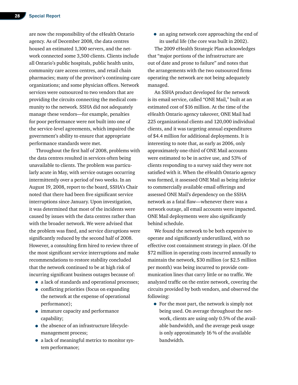are now the responsibility of the eHealth Ontario agency. As of December 2008, the data centres housed an estimated 1,300 servers, and the network connected some 3,500 clients. Clients include all Ontario's public hospitals, public health units, community care access centres, and retail chain pharmacies; many of the province's continuing-care organizations; and some physician offices. Network services were outsourced to two vendors that are providing the circuits connecting the medical community to the network. SSHA did not adequately manage these vendors—for example, penalties for poor performance were not built into one of the service-level agreements, which impaired the government's ability to ensure that appropriate performance standards were met.

Throughout the first half of 2008, problems with the data centres resulted in services often being unavailable to clients. The problem was particularly acute in May, with service outages occurring intermittently over a period of two weeks. In an August 19, 2008, report to the board, SSHA's Chair noted that there had been five significant service interruptions since January. Upon investigation, it was determined that most of the incidents were caused by issues with the data centres rather than with the broader network. We were advised that the problem was fixed, and service disruptions were significantly reduced by the second half of 2008. However, a consulting firm hired to review three of the most significant service interruptions and make recommendations to restore stability concluded that the network continued to be at high risk of incurring significant business outages because of:

- a lack of standards and operational processes;
- conflicting priorities (focus on expanding the network at the expense of operational performance);
- immature capacity and performance capability;
- the absence of an infrastructure lifecyclemanagement process;
- a lack of meaningful metrics to monitor system performance;

• an aging network core approaching the end of its useful life (the core was built in 2002). The 2009 eHealth Strategic Plan acknowledges that "major portions of the infrastructure are out of date and prone to failure" and notes that the arrangements with the two outsourced firms operating the network are not being adequately managed.

An SSHA product developed for the network is its email service, called "ONE Mail," built at an estimated cost of \$16 million. At the time of the eHealth Ontario agency takeover, ONE Mail had 225 organizational clients and 120,000 individual clients, and it was targeting annual expenditures of \$4.4 million for additional deployments. It is interesting to note that, as early as 2006, only approximately one-third of ONE Mail accounts were estimated to be in active use, and 53% of clients responding to a survey said they were not satisfied with it. When the eHealth Ontario agency was formed, it assessed ONE Mail as being inferior to commercially available email offerings and assessed ONE Mail's dependency on the SSHA network as a fatal flaw—whenever there was a network outage, all email accounts were impacted. ONE Mail deployments were also significantly behind schedule.

We found the network to be both expensive to operate and significantly underutilized, with no effective cost containment strategy in place. Of the \$72 million in operating costs incurred annually to maintain the network, \$30 million (or \$2.5 million per month) was being incurred to provide communication lines that carry little or no traffic. We analyzed traffic on the entire network, covering the circuits provided by both vendors, and observed the following:

• For the most part, the network is simply not being used. On average throughout the network, clients are using only 0.5% of the available bandwidth, and the average peak usage is only approximately 16 % of the available bandwidth.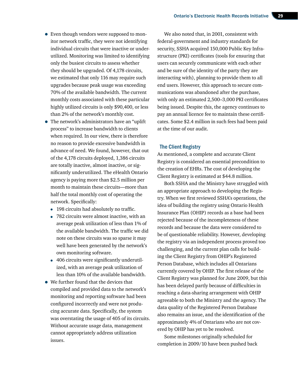- <span id="page-30-0"></span>• Even though vendors were supposed to monitor network traffic, they were not identifying individual circuits that were inactive or underutilized. Monitoring was limited to identifying only the busiest circuits to assess whether they should be upgraded. Of 4,178 circuits, we estimated that only 116 may require such upgrades because peak usage was exceeding 70% of the available bandwidth. The current monthly costs associated with these particular highly utilized circuits is only \$90,400, or less than 2% of the network's monthly cost.
- The network's administrators have an "uplift process" to increase bandwidth to clients when required. In our view, there is therefore no reason to provide excessive bandwidth in advance of need. We found, however, that out of the 4,178 circuits deployed, 1,386 circuits are totally inactive, almost inactive, or significantly underutilized. The eHealth Ontario agency is paying more than \$2.5 million per month to maintain these circuits—more than half the total monthly cost of operating the network. Specifically:
	- 198 circuits had absolutely no traffic.
	- 782 circuits were almost inactive, with an average peak utilization of less than 1% of the available bandwidth. The traffic we did note on these circuits was so sparse it may well have been generated by the network's own monitoring software.
	- 406 circuits were significantly underutilized, with an average peak utilization of less than 10% of the available bandwidth.
- We further found that the devices that compiled and provided data to the network's monitoring and reporting software had been configured incorrectly and were not producing accurate data. Specifically, the system was overstating the usage of 405 of its circuits. Without accurate usage data, management cannot appropriately address utilization issues.

We also noted that, in 2001, consistent with federal-government and industry standards for security, SSHA acquired 150,000 Public Key Infrastructure (PKI) certificates (tools for ensuring that users can securely communicate with each other and be sure of the identity of the party they are interacting with), planning to provide them to all end users. However, this approach to secure communications was abandoned after the purchase, with only an estimated 2,500–3,000 PKI certificates being issued. Despite this, the agency continues to pay an annual licence fee to maintain these certificates. Some \$2.4 million in such fees had been paid at the time of our audit.

#### The Client Registry

As mentioned, a complete and accurate Client Registry is considered an essential precondition to the creation of EHRs. The cost of developing the Client Registry is estimated at \$44.8 million.

Both SSHA and the Ministry have struggled with an appropriate approach to developing the Registry. When we first reviewed SSHA's operations, the idea of building the registry using Ontario Health Insurance Plan (OHIP) records as a base had been rejected because of the incompleteness of these records and because the data were considered to be of questionable reliability. However, developing the registry via an independent process proved too challenging, and the current plan calls for building the Client Registry from OHIP's Registered Person Database, which includes all Ontarians currently covered by OHIP. The first release of the Client Registry was planned for June 2009, but this has been delayed partly because of difficulties in reaching a data-sharing arrangement with OHIP agreeable to both the Ministry and the agency. The data quality of the Registered Person Database also remains an issue, and the identification of the approximately 4% of Ontarians who are not covered by OHIP has yet to be resolved.

Some milestones originally scheduled for completion in 2009/10 have been pushed back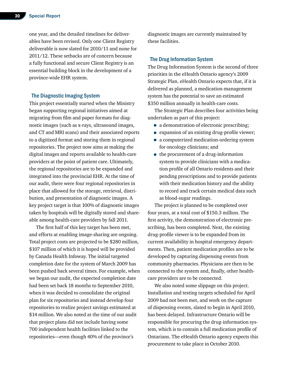<span id="page-31-0"></span>one year, and the detailed timelines for deliverables have been revised. Only one Client Registry deliverable is now slated for 2010/11 and none for 2011/12. These setbacks are of concern because a fully functional and secure Client Registry is an essential building block in the development of a province-wide EHR system.

#### The Diagnostic Imaging System

This project essentially started when the Ministry began supporting regional initiatives aimed at migrating from film and paper formats for diagnostic images (such as x-rays, ultrasound images, and CT and MRI scans) and their associated reports to a digitized format and storing them in regional repositories. The project now aims at making the digital images and reports available to health-care providers at the point of patient care. Ultimately, the regional repositories are to be expanded and integrated into the provincial EHR. At the time of our audit, there were four regional repositories in place that allowed for the storage, retrieval, distribution, and presentation of diagnostic images. A key project target is that 100% of diagnostic images taken by hospitals will be digitally stored and shareable among health-care providers by fall 2011.

The first half of this key target has been met, and efforts at enabling image-sharing are ongoing. Total project costs are projected to be \$280 million, \$107 million of which it is hoped will be provided by Canada Health Infoway. The initial targeted completion date for the system of March 2009 has been pushed back several times. For example, when we began our audit, the expected completion date had been set back 18 months to September 2010, when it was decided to consolidate the original plan for six repositories and instead develop four repositories to realize project savings estimated at \$14 million. We also noted at the time of our audit that project plans did not include having some 700 independent health facilities linked to the repositories—even though 40% of the province's

diagnostic images are currently maintained by these facilities.

#### The Drug Information System

The Drug Information System is the second of three priorities in the eHealth Ontario agency's 2009 Strategic Plan. eHealth Ontario expects that, if it is delivered as planned, a medication-management system has the potential to save an estimated \$350 million annually in health-care costs.

The Strategic Plan describes four activities being undertaken as part of this project:

- a demonstration of electronic prescribing;
- expansion of an existing drug-profile viewer;
- a computerized medication-ordering system for oncology clinicians; and
- the procurement of a drug-information system to provide clinicians with a medication profile of all Ontario residents and their pending prescriptions and to provide patients with their medication history and the ability to record and track certain medical data such as blood-sugar readings.

The project is planned to be completed over four years, at a total cost of \$150.3 million. The first activity, the demonstration of electronic prescribing, has been completed. Next, the existing drug-profile viewer is to be expanded from its current availability in hospital emergency departments. Then, patient medication profiles are to be developed by capturing dispensing events from community pharmacies. Physicians are then to be connected to the system and, finally, other healthcare providers are to be connected.

We also noted some slippage on this project. Installation and testing targets scheduled for April 2009 had not been met, and work on the capture of dispensing events, slated to begin in April 2010, has been delayed. Infrastructure Ontario will be responsible for procuring the drug-information system, which is to contain a full medication profile of Ontarians. The eHealth Ontario agency expects this procurement to take place in October 2010.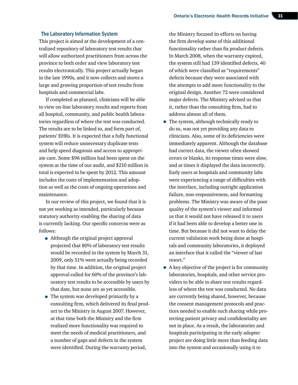#### <span id="page-32-0"></span>The Laboratory Information System

This project is aimed at the development of a centralized repository of laboratory test results that will allow authorized practitioners from across the province to both order and view laboratory test results electronically. This project actually began in the late 1990s, and it now collects and stores a large and growing proportion of test results from hospitals and commercial labs.

If completed as planned, clinicians will be able to view on-line laboratory results and reports from all hospital, community, and public health laboratories regardless of where the test was conducted. The results are to be linked to, and form part of, patients' EHRs. It is expected that a fully functional system will reduce unnecessary duplicate tests and help speed diagnosis and access to appropriate care. Some \$96 million had been spent on the system at the time of our audit, and \$210 million in total is expected to be spent by 2012. This amount includes the costs of implementation and adoption as well as the costs of ongoing operations and maintenance.

In our review of this project, we found that it is not yet working as intended, particularly because statutory authority enabling the sharing of data is currently lacking. Our specific concerns were as follows:

- Although the original project approval projected that 80% of laboratory test results would be recorded in the system by March 31, 2009, only 51% were actually being recorded by that time. In addition, the original project approval called for 60% of the province's laboratory test results to be accessible by users by that date, but none are as yet accessible.
- The system was developed primarily by a consulting firm, which delivered its final product to the Ministry in August 2007. However, at that time both the Ministry and the firm realized more functionality was required to meet the needs of medical practitioners, and a number of gaps and defects in the system were identified. During the warranty period,

the Ministry focused its efforts on having the firm develop some of this additional functionality rather than fix product defects. In March 2008, when the warranty expired, the system still had 139 identified defects, 40 of which were classified as "requirements" defects because they were associated with the attempts to add more functionality to the original design. Another 72 were considered major defects. The Ministry advised us that it, rather than the consulting firm, had to address almost all of them.

- The system, although technically ready to do so, was not yet providing any data to clinicians. Also, some of its deficiencies were immediately apparent. Although the database had correct data, the viewer often showed errors or blanks, its response times were slow, and at times it displayed the data incorrectly. Early users at hospitals and community labs were experiencing a range of difficulties with the interface, including outright application failure, non-responsiveness, and formatting problems. The Ministry was aware of the poor quality of the system's viewer and informed us that it would not have released it to users if it had been able to develop a better one in time. But because it did not want to delay the current validation work being done at hospitals and community laboratories, it deployed an interface that it called the "viewer of last resort."
- A key objective of the project is for community laboratories, hospitals, and other service providers to be able to share test results regardless of where the test was conducted. No data are currently being shared, however, because the consent management protocols and practices needed to enable such sharing while protecting patient privacy and confidentiality are not in place. As a result, the laboratories and hospitals participating in the early adopter project are doing little more than feeding data into the system and occasionally using it to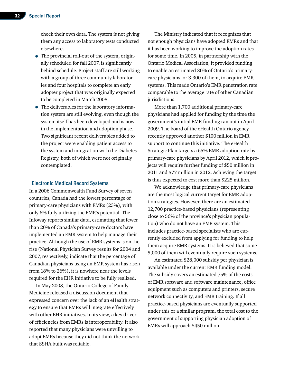<span id="page-33-0"></span>check their own data. The system is not giving them any access to laboratory tests conducted elsewhere.

- The provincial roll-out of the system, originally scheduled for fall 2007, is significantly behind schedule. Project staff are still working with a group of three community laboratories and four hospitals to complete an early adopter project that was originally expected to be completed in March 2008.
- The deliverables for the laboratory information system are still evolving, even though the system itself has been developed and is now in the implementation and adoption phase. Two significant recent deliverables added to the project were enabling patient access to the system and integration with the Diabetes Registry, both of which were not originally contemplated.

#### Electronic Medical Record Systems

In a 2006 Commonwealth Fund Survey of seven countries, Canada had the lowest percentage of primary-care physicians with EMRs (23%), with only 6% fully utilizing the EMR's potential. The Infoway reports similar data, estimating that fewer than 20% of Canada's primary-care doctors have implemented an EMR system to help manage their practice. Although the use of EMR systems is on the rise (National Physician Survey results for 2004 and 2007, respectively, indicate that the percentage of Canadian physicians using an EMR system has risen from 18% to 26%), it is nowhere near the levels required for the EHR initiative to be fully realized.

In May 2008, the Ontario College of Family Medicine released a discussion document that expressed concern over the lack of an eHealth strategy to ensure that EMRs will integrate effectively with other EHR initiatives. In its view, a key driver of efficiencies from EMRs is interoperability. It also reported that many physicians were unwilling to adopt EMRs because they did not think the network that SSHA built was reliable.

The Ministry indicated that it recognizes that not enough physicians have adopted EMRs and that it has been working to improve the adoption rates for some time. In 2005, in partnership with the Ontario Medical Association, it provided funding to enable an estimated 30% of Ontario's primarycare physicians, or 3,300 of them, to acquire EMR systems. This made Ontario's EMR penetration rate comparable to the average rate of other Canadian jurisdictions.

More than 1,700 additional primary-care physicians had applied for funding by the time the government's initial EMR funding ran out in April 2009. The board of the eHealth Ontario agency recently approved another \$100 million in EMR support to continue this initiative. The eHealth Strategic Plan targets a 65% EMR adoption rate by primary-care physicians by April 2012, which it projects will require further funding of \$50 million in 2011 and \$77 million in 2012. Achieving the target is thus expected to cost more than \$225 million.

We acknowledge that primary-care physicians are the most logical current target for EMR adoption strategies. However, there are an estimated 12,700 practice-based physicians (representing close to 56% of the province's physician population) who do not have an EMR system. This includes practice-based specialists who are currently excluded from applying for funding to help them acquire EMR systems. It is believed that some 5,000 of them will eventually require such systems.

An estimated \$28,000 subsidy per physician is available under the current EMR funding model. The subsidy covers an estimated 75% of the costs of EMR software and software maintenance, office equipment such as computers and printers, secure network connectivity, and EMR training. If all practice-based physicians are eventually supported under this or a similar program, the total cost to the government of supporting physician adoption of EMRs will approach \$450 million.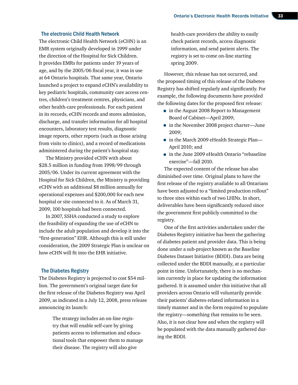#### <span id="page-34-0"></span>The electronic Child Health Network

The electronic Child Health Network (eCHN) is an EMR system originally developed in 1999 under the direction of the Hospital for Sick Children. It provides EMRs for patients under 19 years of age, and by the 2005/06 fiscal year, it was in use at 64 Ontario hospitals. That same year, Ontario launched a project to expand eCHN's availability to key pediatric hospitals, community care access centres, children's treatment centres, physicians, and other health-care professionals. For each patient in its records, eCHN records and stores admission, discharge, and transfer information for all hospital encounters, laboratory test results, diagnostic image reports, other reports (such as those arising from visits to clinics), and a record of medications administered during the patient's hospital stay.

The Ministry provided eCHN with about \$28.5 million in funding from 1998/99 through 2005/06. Under its current agreement with the Hospital for Sick Children, the Ministry is providing eCHN with an additional \$8 million annually for operational expenses and \$200,000 for each new hospital or site connected to it. As of March 31, 2009, 100 hospitals had been connected.

In 2007, SSHA conducted a study to explore the feasibility of expanding the use of eCHN to include the adult population and develop it into the "first-generation" EHR. Although this is still under consideration, the 2009 Strategic Plan is unclear on how eCHN will fit into the EHR initiative.

#### The Diabetes Registry

The Diabetes Registry is projected to cost \$54 million. The government's original target date for the first release of the Diabetes Registry was April 2009, as indicated in a July 12, 2008, press release announcing its launch:

> The strategy includes an on-line registry that will enable self-care by giving patients access to information and educational tools that empower them to manage their disease. The registry will also give

health-care providers the ability to easily check patient records, access diagnostic information, and send patient alerts. The registry is set to come on-line starting spring 2009.

However, this release has not occurred, and the proposed timing of this release of the Diabetes Registry has shifted regularly and significantly. For example, the following documents have provided the following dates for the proposed first release:

- in the August 2008 Report to Management Board of Cabinet—April 2009;
- in the November 2008 project charter—June 2009;
- in the March 2009 eHealth Strategic Plan-April 2010; and
- in the June 2009 eHealth Ontario "rebaseline exercise"—fall 2010.

The expected content of the release has also diminished over time. Original plans to have the first release of the registry available to all Ontarians have been adjusted to a "limited production rollout" to three sites within each of two LHINs. In short, deliverables have been significantly reduced since the government first publicly committed to the registry.

One of the first activities undertaken under the Diabetes Registry initiative has been the gathering of diabetes patient and provider data. This is being done under a sub-project known as the Baseline Diabetes Dataset Initiative (BDDI). Data are being collected under the BDDI manually, at a particular point in time. Unfortunately, there is no mechanism currently in place for updating the information gathered. It is assumed under this initiative that all providers across Ontario will voluntarily provide their patients' diabetes-related information in a timely manner and in the form required to populate the registry—something that remains to be seen. Also, it is not clear how and when the registry will be populated with the data manually gathered during the BDDI.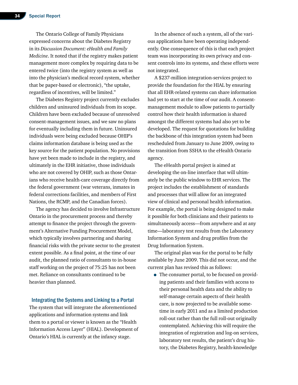<span id="page-35-0"></span>The Ontario College of Family Physicians expressed concerns about the Diabetes Registry in its *Discussion Document: eHealth and Family Medicine*. It noted that if the registry makes patient management more complex by requiring data to be entered twice (into the registry system as well as into the physician's medical record system, whether that be paper-based or electronic), "the uptake, regardless of incentives, will be limited."

The Diabetes Registry project currently excludes children and uninsured individuals from its scope. Children have been excluded because of unresolved consent-management issues, and we saw no plans for eventually including them in future. Uninsured individuals were being excluded because OHIP's claims information database is being used as the key source for the patient population. No provisions have yet been made to include in the registry, and ultimately in the EHR initiative, those individuals who are not covered by OHIP, such as those Ontarians who receive health-care coverage directly from the federal government (war veterans, inmates in federal corrections facilities, and members of First Nations, the RCMP, and the Canadian forces).

The agency has decided to involve Infrastructure Ontario in the procurement process and thereby attempt to finance the project through the government's Alternative Funding Procurement Model, which typically involves partnering and sharing financial risks with the private sector to the greatest extent possible. As a final point, at the time of our audit, the planned ratio of consultants to in-house staff working on the project of 75:25 has not been met. Reliance on consultants continued to be heavier than planned.

Integrating the Systems and Linking to a Portal

The system that will integrate the aforementioned applications and information systems and link them to a portal or viewer is known as the "Health Information Access Layer" (HIAL). Development of Ontario's HIAL is currently at the infancy stage.

In the absence of such a system, all of the various applications have been operating independently. One consequence of this is that each project team was incorporating its own privacy and consent controls into its systems, and these efforts were not integrated.

A \$237-million integration-services project to provide the foundation for the HIAL by ensuring that all EHR-related systems can share information had yet to start at the time of our audit. A consentmanagement module to allow patients to partially control how their health information is shared amongst the different systems had also yet to be developed. The request for quotations for building the backbone of this integration system had been rescheduled from January to June 2009, owing to the transition from SSHA to the eHealth Ontario agency.

The eHealth portal project is aimed at developing the on-line interface that will ultimately be the public window to EHR services. The project includes the establishment of standards and processes that will allow for an integrated view of clinical and personal health information. For example, the portal is being designed to make it possible for both clinicians and their patients to simultaneously access—from anywhere and at any time—laboratory test results from the Laboratory Information System and drug profiles from the Drug Information System.

The original plan was for the portal to be fully available by June 2009. This did not occur, and the current plan has revised this as follows:

• The consumer portal, to be focused on providing patients and their families with access to their personal health data and the ability to self-manage certain aspects of their health care, is now projected to be available sometime in early 2011 and as a limited production roll-out rather than the full roll-out originally contemplated. Achieving this will require the integration of registration and log-on services, laboratory test results, the patient's drug history, the Diabetes Registry, health-knowledge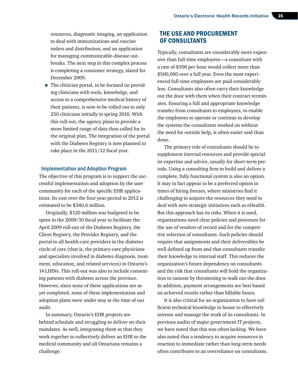<span id="page-36-0"></span>resources, diagnostic imaging, an application to deal with immunizations and vaccine orders and distribution, and an application for managing communicable-disease outbreaks. The next step in this complex process is completing a consumer strategy, slated for December 2009.

• The clinician portal, to be focused on providing clinicians with tools, knowledge, and access to a comprehensive medical history of their patients, is now to be rolled out to only 250 clinicians initially in spring 2010. With this roll-out, the agency plans to provide a more limited range of data than called for in the original plan. The integration of the portal with the Diabetes Registry is now planned to take place in the 2011/12 fiscal year.

#### Implementation and Adoption Program

The objective of this program is to support the successful implementation and adoption by the user community for each of the specific EHR applications. Its cost over the four-year period to 2012 is estimated to be \$340.6 million.

Originally, \$120 million was budgeted to be spent in the 2009/10 fiscal year to facilitate the April 2009 roll-out of the Diabetes Registry, the Client Registry, the Provider Registry, and the portal to all health-care providers in the diabetes circle of care (that is, the primary-care physicians and specialists involved in diabetes diagnosis, treatment, education, and related services) in Ontario's 14 LHINs. This roll-out was also to include consenting patients with diabetes across the province. However, since none of these applications are as yet completed, none of these implementation and adoption plans were under way at the time of our audit.

In summary, Ontario's EHR projects are behind schedule and struggling to deliver on their mandates. As well, integrating them so that they work together to collectively deliver an EHR to the medical community and all Ontarians remains a challenge.

# The Use and Procurement of Consultants

Typically, consultants are considerably more expensive than full-time employees—a consultant with a rate of \$300 per hour would collect more than \$500,000 over a full year. Even the most experienced full-time employees are paid considerably less. Consultants also often carry their knowledge out the door with them when their contract terminates. Ensuring a full and appropriate knowledge transfer from consultants to employees, to enable the employees to operate or continue to develop the systems the consultants worked on without the need for outside help, is often easier said than done.

The primary role of consultants should be to supplement internal resources and provide specialist expertise and advice, usually for short-term periods. Using a consulting firm to build and deliver a complete, fully functional system is also an option. It may in fact appear to be a preferred option in times of hiring freezes, where ministries find it challenging to acquire the resources they need to deal with new strategic initiatives such as eHealth. But this approach has its risks. When it is used, organizations need clear policies and processes for the use of vendors of record and for the competitive selection of consultants. Such policies should require that assignments and their deliverables be well defined up front and that consultants transfer their knowledge to internal staff. This reduces the organization's future dependency on consultants and the risk that consultants will hold the organization to ransom by threatening to walk out the door. In addition, payment arrangements are best based on achieved results rather than billable hours.

It is also critical for an organization to have sufficient technical knowledge in house to effectively oversee and manage the work of its consultants. In previous audits of major government IT projects, we have noted that this was often lacking. We have also noted that a tendency to acquire resources in reaction to immediate rather than long-term needs often contributes to an overreliance on consultants.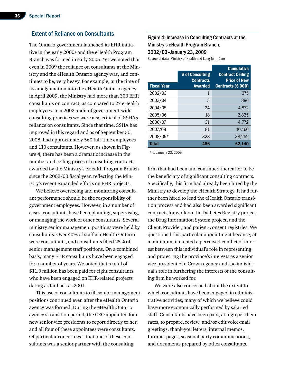#### <span id="page-37-0"></span>Extent of Reliance on Consultants

The Ontario government launched its EHR initiative in the early 2000s and the eHealth Program Branch was formed in early 2005. Yet we noted that even in 2009 the reliance on consultants at the Ministry and the eHealth Ontario agency was, and continues to be, very heavy. For example, at the time of its amalgamation into the eHealth Ontario agency in April 2009, the Ministry had more than 300 EHR consultants on contract, as compared to 27 eHealth employees. In a 2002 audit of government-wide consulting practices we were also critical of SSHA's reliance on consultants. Since that time, SSHA has improved in this regard and as of September 30, 2008, had approximately 560 full-time employees and 110 consultants. However, as shown in Figure 4, there has been a dramatic increase in the number and ceiling prices of consulting contracts awarded by the Ministry's eHealth Program Branch since the 2002/03 fiscal year, reflecting the Ministry's recent expanded efforts on EHR projects.

We believe overseeing and monitoring consultant performance should be the responsibility of government employees. However, in a number of cases, consultants have been planning, supervising, or managing the work of other consultants. Several ministry senior management positions were held by consultants. Over 40% of staff at eHealth Ontario were consultants, and consultants filled 25% of senior management staff positions. On a combined basis, many EHR consultants have been engaged for a number of years. We noted that a total of \$11.3 million has been paid for eight consultants who have been engaged on EHR-related projects dating as far back as 2001.

This use of consultants to fill senior management positions continued even after the eHealth Ontario agency was formed. During the eHealth Ontario agency's transition period, the CEO appointed four new senior vice presidents to report directly to her, and all four of these appointees were consultants. Of particular concern was that one of these consultants was a senior partner with the consulting

# Figure 4: Increase in Consulting Contracts at the Ministry's eHealth Program Branch, 2002/03–January 23, 2009

Source of data: Ministry of Health and Long-Term Care

| <b>Fiscal Year</b> | # of Consulting<br><b>Contracts</b><br><b>Awarded</b> | <b>Cumulative</b><br><b>Contract Ceiling</b><br><b>Price of New</b><br>Contracts (\$ 000) |
|--------------------|-------------------------------------------------------|-------------------------------------------------------------------------------------------|
| 2002/03            | 1                                                     | 375                                                                                       |
| 2003/04            | 3                                                     | 886                                                                                       |
| 2004/05            | 24                                                    | 4,872                                                                                     |
| 2005/06            | 18                                                    | 2,825                                                                                     |
| 2006/07            | 31                                                    | 4.772                                                                                     |
| 2007/08            | 81                                                    | 10,160                                                                                    |
| 2008/09*           | 328                                                   | 38,252                                                                                    |
| Total              | 486                                                   | 62.140                                                                                    |

\* to January 23, 2009

firm that had been and continued thereafter to be the beneficiary of significant consulting contracts. Specifically, this firm had already been hired by the Ministry to develop the eHealth Strategy. It had further been hired to lead the eHealth Ontario transition process and had also been awarded significant contracts for work on the Diabetes Registry project, the Drug Information System project, and the Client, Provider, and patient-consent registries. We questioned this particular appointment because, at a minimum, it created a perceived conflict of interest between this individual's role in representing and protecting the province's interests as a senior vice president of a Crown agency and the individual's role in furthering the interests of the consulting firm he worked for.

We were also concerned about the extent to which consultants have been engaged in administrative activities, many of which we believe could have more economically performed by salaried staff. Consultants have been paid, at high per diem rates, to prepare, review, and/or edit voice-mail greetings, thank-you letters, internal memos, Intranet pages, seasonal party communications, and documents prepared by other consultants.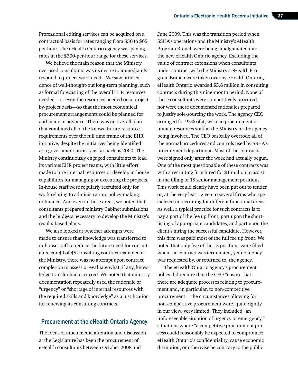<span id="page-38-0"></span>Professional editing services can be acquired on a contractual basis for rates ranging from \$50 to \$65 per hour. The eHealth Ontario agency was paying rates in the \$300-per-hour range for these services.

We believe the main reason that the Ministry overused consultants was its desire to immediately respond to project work needs. We saw little evidence of well-thought-out long-term planning, such as formal forecasting of the overall EHR resources needed—or even the resources needed on a projectby-project basis—so that the most economical procurement arrangements could be planned for and made in advance. There was no overall plan that combined all of the known future resource requirements over the full time frame of the EHR initiative, despite the initiatives being identified as a government priority as far back as 2000. The Ministry continuously engaged consultants to lead its various EHR project teams, with little effort made to hire internal resources or develop in-house capabilities for managing or executing the projects. In-house staff were regularly recruited only for work relating to administration, policy-making, or finance. And even in those areas, we noted that consultants prepared ministry Cabinet submissions and the budgets necessary to develop the Ministry's results-based plans.

We also looked at whether attempts were made to ensure that knowledge was transferred to in-house staff to reduce the future need for consultants. For 40 of 45 consulting contracts sampled at the Ministry, there was no attempt upon contract completion to assess or evaluate what, if any, knowledge transfer had occurred. We noted that ministry documentation repeatedly used the rationale of "urgency" or "shortage of internal resources with the required skills and knowledge" as a justification for renewing its consulting contracts.

#### Procurement at the eHealth Ontario Agency

The focus of much media attention and discussion at the Legislature has been the procurement of eHealth consultants between October 2008 and

June 2009. This was the transition period when SSHA's operations and the Ministry's eHealth Program Branch were being amalgamated into the new eHealth Ontario agency. Excluding the value of contract extensions when consultants under contract with the Ministry's eHealth Program Branch were taken over by eHealth Ontario, eHealth Ontario awarded \$5.6 million in consulting contracts during this nine-month period. None of these consultants were competitively procured, nor were there documented rationales prepared to justify sole-sourcing the work. The agency CEO arranged for 95% of it, with no procurement or human resources staff at the Ministry or the agency being involved. The CEO basically overrode all of the normal procedures and controls used by SSHA's procurement department. Most of the contracts were signed only after the work had actually begun. One of the most questionable of these contracts was with a recruiting firm hired for \$1 million to assist in the filling of 15 senior management positions. This work could clearly have been put out to tender or, at the very least, given to several firms who specialized in recruiting for different functional areas. As well, a typical practice for such contracts is to pay a part of the fee up front, part upon the shortlisting of appropriate candidates, and part upon the client's hiring the successful candidate. However, this firm was paid most of the full fee up front. We noted that only five of the 15 positions were filled when the contract was terminated, yet no money was requested by, or returned to, the agency.

The eHealth Ontario agency's procurement policy did require that the CEO "ensure that there are adequate processes relating to procurement and, in particular, to non-competitive procurement." The circumstances allowing for non-competitive procurement were, quite rightly in our view, very limited. They included "an unforeseeable situation of urgency or emergency," situations where "a competitive procurement process could reasonably be expected to compromise eHealth Ontario's confidentiality, cause economic disruption, or otherwise be contrary to the public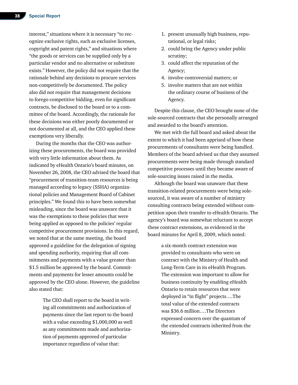interest," situations where it is necessary "to recognize exclusive rights, such as exclusive licenses, copyright and patent rights," and situations where "the goods or services can be supplied only by a particular vendor and no alternative or substitute exists." However, the policy did not require that the rationale behind any decisions to procure services non-competitively be documented. The policy also did not require that management decisions to forego competitive bidding, even for significant contracts, be disclosed to the board or to a committee of the board. Accordingly, the rationale for these decisions was either poorly documented or not documented at all, and the CEO applied these exemptions very liberally.

During the months that the CEO was authorizing these procurements, the board was provided with very little information about them. As indicated by eHealth Ontario's board minutes, on November 26, 2008, the CEO advised the board that "procurement of transition-team resources is being managed according to legacy (SSHA) organizational policies and Management Board of Cabinet principles." We found this to have been somewhat misleading, since the board was unaware that it was the exemptions to these policies that were being applied as opposed to the policies' regular competitive procurement provisions. In this regard, we noted that at the same meeting, the board approved a guideline for the delegation of signing and spending authority, requiring that all commitments and payments with a value greater than \$1.5 million be approved by the board. Commitments and payments for lesser amounts could be approved by the CEO alone. However, the guideline also stated that:

> The CEO shall report to the board in writing all commitments and authorization of payments since the last report to the board with a value exceeding \$1,000,000 as well as any commitments made and authorization of payments approved of particular importance regardless of value that:

- 1. present unusually high business, reputational, or legal risks;
- 2. could bring the Agency under public scrutiny;
- 3. could affect the reputation of the Agency;
- 4. involve controversial matters; or
- 5. involve matters that are not within the ordinary course of business of the Agency.

Despite this clause, the CEO brought none of the sole-sourced contracts that she personally arranged and awarded to the board's attention.

We met with the full board and asked about the extent to which it had been apprised of how these procurements of consultants were being handled. Members of the board advised us that they assumed procurements were being made through standard competitive processes until they became aware of sole-sourcing issues raised in the media.

Although the board was unaware that these transition-related procurements were being solesourced, it was aware of a number of ministry consulting contracts being extended without competition upon their transfer to eHealth Ontario. The agency's board was somewhat reluctant to accept these contract extensions, as evidenced in the board minutes for April 8, 2009, which noted:

> a six-month contract extension was provided to consultants who were on contract with the Ministry of Health and Long-Term Care in its eHealth Program. The extension was important to allow for business continuity by enabling eHealth Ontario to retain resources that were deployed in "in flight" projects….The total value of the extended contracts was \$36.6 million….The Directors expressed concern over the quantum of the extended contracts inherited from the Ministry.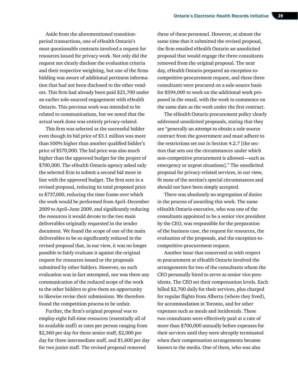Aside from the aforementioned transitionperiod transactions, one of eHealth Ontario's most questionable contracts involved a request for resources issued for privacy work. Not only did the request not clearly disclose the evaluation criteria and their respective weighting, but one of the firms bidding was aware of additional pertinent information that had not been disclosed to the other vendors. This firm had already been paid \$25,700 under an earlier sole-sourced engagement with eHealth Ontario. This previous work was intended to be related to communications, but we noted that the actual work done was entirely privacy-related.

This firm was selected as the successful bidder even though its bid price of \$3.1 million was more than 500% higher than another qualified bidder's price of \$570,000. The bid price was also much higher than the approved budget for the project of \$700,000. The eHealth Ontario agency asked only the selected firm to submit a second bid more in line with the approved budget. The firm sent in a revised proposal, reducing its total proposed price to \$737,000, reducing the time frame over which the work would be performed from April–December 2009 to April–June 2009, and significantly reducing the resources it would devote to the two main deliverables originally requested in the tender document. We found the scope of one of the main deliverables to be so significantly reduced in the revised proposal that, in our view, it was no longer possible to fairly evaluate it against the original request for resources issued or the proposals submitted by other bidders. However, no such evaluation was in fact attempted, nor was there any communication of the reduced scope of the work to the other bidders to give them an opportunity to likewise revise their submissions. We therefore found the competition process to be unfair.

Further, the firm's original proposal was to employ eight full-time resources (essentially all of its available staff) at rates per person ranging from \$2,360 per day for three senior staff, \$2,000 per day for three intermediate staff, and \$1,600 per day for two junior staff. The revised proposal removed

three of these personnel. However, at almost the same time that it submitted the revised proposal, the firm emailed eHealth Ontario an unsolicited proposal that would engage the three consultants removed from the original proposal. The next day, eHealth Ontario prepared an exception-tocompetitive-procurement request, and these three consultants were procured on a sole-source basis for \$594,000 to work on the additional work proposed in the email, with the work to commence on the same date as the work under the first contract.

The eHealth Ontario procurement policy clearly addressed unsolicited proposals, stating that they are "generally an attempt to obtain a sole source contract from the government and must adhere to the restrictions set out in Section 4.2.7 [the section that sets out the circumstances under which non-competitive procurement is allowed—such as emergency or urgent situations]." The unsolicited proposal for privacy-related services, in our view, fit none of the section's special circumstances and should not have been simply accepted.

There was absolutely no segregation of duties in the process of awarding this work. The same eHealth Ontario executive, who was one of the consultants appointed to be a senior vice president by the CEO, was responsible for the preparation of the business case, the request for resources, the evaluation of the proposals, and the exception-tocompetitive-procurement request.

Another issue that concerned us with respect to procurement at eHealth Ontario involved the arrangements for two of the consultants whom the CEO personally hired to serve as senior vice presidents. The CEO set their compensation levels. Each billed \$2,700 daily for their services, plus charged for regular flights from Alberta (where they lived), for accommodation in Toronto, and for other expenses such as meals and incidentals. These two consultants were effectively paid at a rate of more than \$700,000 annually before expenses for their services until they were abruptly terminated when their compensation arrangements became known to the media. One of them, who was also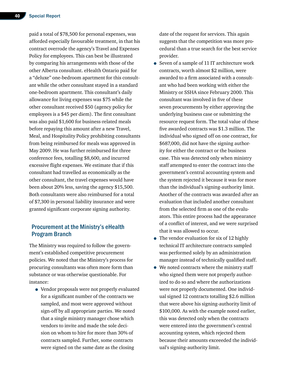<span id="page-41-0"></span>paid a total of \$78,500 for personal expenses, was afforded especially favourable treatment, in that his contract overrode the agency's Travel and Expenses Policy for employees. This can best be illustrated by comparing his arrangements with those of the other Alberta consultant. eHealth Ontario paid for a "deluxe" one-bedroom apartment for this consultant while the other consultant stayed in a standard one-bedroom apartment. This consultant's daily allowance for living expenses was \$75 while the other consultant received \$50 (agency policy for employees is a \$45 per diem). The first consultant was also paid \$1,600 for business-related meals before repaying this amount after a new Travel, Meal, and Hospitality Policy prohibiting consultants from being reimbursed for meals was approved in May 2009. He was further reimbursed for three conference fees, totalling \$8,600, and incurred excessive flight expenses. We estimate that if this consultant had travelled as economically as the other consultant, the travel expenses would have been about 20% less, saving the agency \$15,500. Both consultants were also reimbursed for a total of \$7,300 in personal liability insurance and were granted significant corporate signing authority.

# Procurement at the Ministry's eHealth Program Branch

The Ministry was required to follow the government's established competitive procurement policies. We noted that the Ministry's process for procuring consultants was often more form than substance or was otherwise questionable. For instance:

• Vendor proposals were not properly evaluated for a significant number of the contracts we sampled, and most were approved without sign-off by all appropriate parties. We noted that a single ministry manager chose which vendors to invite and made the sole decision on whom to hire for more than 30% of contracts sampled. Further, some contracts were signed on the same date as the closing

date of the request for services. This again suggests that the competition was more procedural than a true search for the best service provider.

- Seven of a sample of 11 IT architecture work contracts, worth almost \$2 million, were awarded to a firm associated with a consultant who had been working with either the Ministry or SSHA since February 2000. This consultant was involved in five of these seven procurements by either approving the underlying business case or submitting the resource request form. The total value of these five awarded contracts was \$1.3 million. The individual who signed off on one contract, for \$687,000, did not have the signing authority for either the contract or the business case. This was detected only when ministry staff attempted to enter the contract into the government's central accounting system and the system rejected it because it was for more than the individual's signing-authority limit. Another of the contracts was awarded after an evaluation that included another consultant from the selected firm as one of the evaluators. This entire process had the appearance of a conflict of interest, and we were surprised that it was allowed to occur.
- The vendor evaluation for six of 12 highly technical IT architecture contracts sampled was performed solely by an administration manager instead of technically qualified staff.
- We noted contracts where the ministry staff who signed them were not properly authorized to do so and where the authorizations were not properly documented. One individual signed 12 contracts totalling \$2.6 million that were above his signing-authority limit of \$100,000. As with the example noted earlier, this was detected only when the contracts were entered into the government's central accounting system, which rejected them because their amounts exceeeded the individual's signing-authority limit.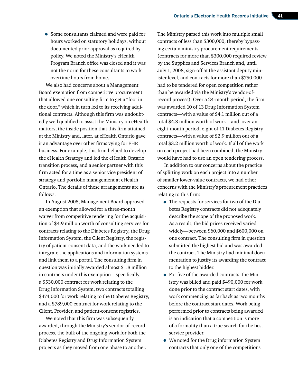• Some consultants claimed and were paid for hours worked on statutory holidays, without documented prior approval as required by policy. We noted the Ministry's eHealth Program Branch office was closed and it was not the norm for these consultants to work overtime hours from home.

We also had concerns about a Management Board exemption from competitive procurement that allowed one consulting firm to get a "foot in the door," which in turn led to its receiving additional contracts. Although this firm was undoubtedly well qualified to assist the Ministry on eHealth matters, the inside position that this firm attained at the Ministry and, later, at eHealth Ontario gave it an advantage over other firms vying for EHR business. For example, this firm helped to develop the eHealth Strategy and led the eHealth Ontario transition process, and a senior partner with this firm acted for a time as a senior vice president of strategy and portfolio management at eHealth Ontario. The details of these arrangements are as follows.

In August 2008, Management Board approved an exemption that allowed for a three-month waiver from competitive tendering for the acquisition of \$4.9 million worth of consulting services for contracts relating to the Diabetes Registry, the Drug Information System, the Client Registry, the registry of patient-consent data, and the work needed to integrate the applications and information systems and link them to a portal. The consulting firm in question was initially awarded almost \$1.8 million in contracts under this exemption—specifically, a \$530,000 contract for work relating to the Drug Information System, two contracts totalling \$474,000 for work relating to the Diabetes Registry, and a \$789,000 contract for work relating to the Client, Provider, and patient-consent registries.

We noted that this firm was subsequently awarded, through the Ministry's vendor-of-record process, the bulk of the ongoing work for both the Diabetes Registry and Drug Information System projects as they moved from one phase to another. The Ministry parsed this work into multiple small contracts of less than \$300,000, thereby bypassing certain ministry procurement requirements (contracts for more than \$300,000 required review by the Supplies and Services Branch and, until July 1, 2008, sign-off at the assistant deputy minister level, and contracts for more than \$750,000 had to be tendered for open competition rather than be awarded via the Ministry's vendor-ofrecord process). Over a 24-month period, the firm was awarded 10 of 13 Drug Information System contracts—with a value of \$4.1 million out of a total \$4.3 million worth of work—and, over an eight-month period, eight of 11 Diabetes Registry contracts—with a value of \$2.9 million out of a total \$3.2 million worth of work. If all of the work on each project had been combined, the Ministry would have had to use an open tendering process.

In addition to our concerns about the practice of splitting work on each project into a number of smaller lower-value contracts, we had other concerns with the Ministry's procurement practices relating to this firm:

- The requests for services for two of the Diabetes Registry contracts did not adequately describe the scope of the proposed work. As a result, the bid prices received varied widely—between \$60,000 and \$600,000 on one contract. The consulting firm in question submitted the highest bid and was awarded the contract. The Ministry had minimal documentation to justify its awarding the contract to the highest bidder.
- For five of the awarded contracts, the Ministry was billed and paid \$490,000 for work done prior to the contract start dates, with work commencing as far back as two months before the contract start dates. Work being performed prior to contracts being awarded is an indication that a competition is more of a formality than a true search for the best service provider.
- We noted for the Drug information System contracts that only one of the competitions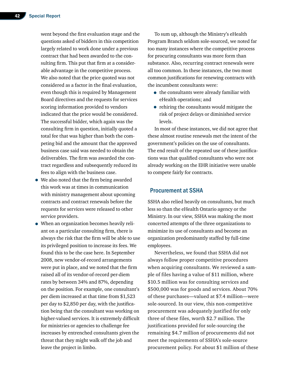<span id="page-43-0"></span>went beyond the first evaluation stage and the questions asked of bidders in this competition largely related to work done under a previous contract that had been awarded to the consulting firm. This put that firm at a considerable advantage in the competitive process. We also noted that the price quoted was not considered as a factor in the final evaluation, even though this is required by Management Board directives and the requests for services scoring information provided to vendors indicated that the price would be considered. The successful bidder, which again was the consulting firm in question, initially quoted a total fee that was higher than both the competing bid and the amount that the approved business case said was needed to obtain the deliverables. The firm was awarded the contract regardless and subsequently reduced its fees to align with the business case.

- We also noted that the firm being awarded this work was at times in communication with ministry management about upcoming contracts and contract renewals before the requests for services were released to other service providers.
- When an organization becomes heavily reliant on a particular consulting firm, there is always the risk that the firm will be able to use its privileged position to increase its fees. We found this to be the case here. In September 2008, new vendor-of-record arrangements were put in place, and we noted that the firm raised all of its vendor-of-record per-diem rates by between 34% and 87%, depending on the position. For example, one consultant's per diem increased at that time from \$1,523 per day to \$2,850 per day, with the justification being that the consultant was working on higher-valued services. It is extremely difficult for ministries or agencies to challenge fee increases by entrenched consultants given the threat that they might walk off the job and leave the project in limbo.

To sum up, although the Ministry's eHealth Program Branch seldom sole-sourced, we noted far too many instances where the competitive process for procuring consultants was more form than substance. Also, recurring contract renewals were all too common. In these instances, the two most common justifications for renewing contracts with the incumbent consultants were:

- the consultants were already familiar with eHealth operations; and
- rehiring the consultants would mitigate the risk of project delays or diminished service levels.

In most of these instances, we did not agree that these almost routine renewals met the intent of the government's policies on the use of consultants. The end result of the repeated use of these justifications was that qualified consultants who were not already working on the EHR initiative were unable to compete fairly for contracts.

#### Procurement at SSHA

SSHA also relied heavily on consultants, but much less so than the eHealth Ontario agency or the Ministry. In our view, SSHA was making the most concerted attempts of the three organizations to minimize its use of consultants and become an organization predominantly staffed by full-time employees.

Nevertheless, we found that SSHA did not always follow proper competitive procedures when acquiring consultants. We reviewed a sample of files having a value of \$11 million, where \$10.5 million was for consulting services and \$500,000 was for goods and services. About 70% of these purchases—valued at \$7.4 million—were sole-sourced. In our view, this non-competitive procurement was adequately justified for only three of these files, worth \$2.7 million. The justifications provided for sole-sourcing the remaining \$4.7 million of procurements did not meet the requirements of SSHA's sole-source procurement policy. For about \$1 million of these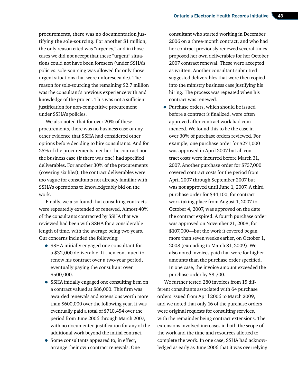procurements, there was no documentation justifying the sole-sourcing. For another \$1 million, the only reason cited was "urgency," and in those cases we did not accept that these "urgent" situations could not have been foreseen (under SSHA's policies, sole-sourcing was allowed for only those urgent situations that were unforeseeable). The reason for sole-sourcing the remaining \$2.7 million was the consultant's previous experience with and knowledge of the project. This was not a sufficient justification for non-competitive procurement under SSHA's policies.

We also noted that for over 20% of these procurements, there was no business case or any other evidence that SSHA had considered other options before deciding to hire consultants. And for 25% of the procurements, neither the contract nor the business case (if there was one) had specified deliverables. For another 30% of the procurements (covering six files), the contract deliverables were too vague for consultants not already familiar with SSHA's operations to knowledgeably bid on the work.

Finally, we also found that consulting contracts were repeatedly extended or renewed. Almost 40% of the consultants contracted by SSHA that we reviewed had been with SSHA for a considerable length of time, with the average being two years. Our concerns included the following:

- SSHA initially engaged one consultant for a \$32,000 deliverable. It then continued to renew his contract over a two-year period, eventually paying the consultant over \$500,000.
- SSHA initially engaged one consulting firm on a contract valued at \$86,000. This firm was awarded renewals and extensions worth more than \$600,000 over the following year. It was eventually paid a total of \$710,454 over the period from June 2006 through March 2007, with no documented justification for any of the additional work beyond the initial contract.
- Some consultants appeared to, in effect, arrange their own contract renewals. One

consultant who started working in December 2006 on a three-month contract, and who had her contract previously renewed several times, proposed her own deliverables for her October 2007 contract renewal. These were accepted as written. Another consultant submitted suggested deliverables that were then copied into the ministry business case justifying his hiring. The process was repeated when his contract was renewed.

• Purchase orders, which should be issued before a contract is finalized, were often approved after contract work had commenced. We found this to be the case in over 30% of purchase orders reviewed. For example, one purchase order for \$271,000 was approved in April 2007 but all contract costs were incurred before March 31, 2007. Another purchase order for \$737,000 covered contract costs for the period from April 2007 through September 2007 but was not approved until June 1, 2007. A third purchase order for \$44,100, for contract work taking place from August 1, 2007 to October 4, 2007, was approved on the date the contract expired. A fourth purchase order was approved on November 21, 2008, for \$107,000—but the work it covered began more than seven weeks earlier, on October 1, 2008 (extending to March 31, 2009). We also noted invoices paid that were for higher amounts than the purchase order specified. In one case, the invoice amount exceeded the purchase order by \$8,700.

We further tested 280 invoices from 15 different consultants associated with 64 purchase orders issued from April 2006 to March 2009, and we noted that only 16 of the purchase orders were original requests for consulting services, with the remainder being contract extensions. The extensions involved increases in both the scope of the work and the time and resources allotted to complete the work. In one case, SSHA had acknowledged as early as June 2006 that it was overrelying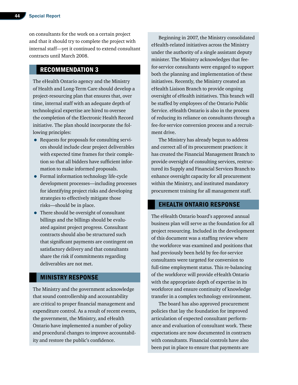on consultants for the work on a certain project and that it should try to complete the project with internal staff—yet it continued to extend consultant contracts until March 2008.

# Recommendation 3

The eHealth Ontario agency and the Ministry of Health and Long-Term Care should develop a project-resourcing plan that ensures that, over time, internal staff with an adequate depth of technological expertise are hired to oversee the completion of the Electronic Health Record initiative. The plan should incorporate the following principles:

- Requests for proposals for consulting services should include clear project deliverables with expected time frames for their completion so that all bidders have sufficient information to make informed proposals.
- Formal information technology life-cycle development processes—including processes for identifying project risks and developing strategies to effectively mitigate those risks—should be in place.
- There should be oversight of consultant billings and the billings should be evaluated against project progress. Consultant contracts should also be structured such that significant payments are contingent on satisfactory delivery and that consultants share the risk if commitments regarding deliverables are not met.

# ministry response

The Ministry and the government acknowledge that sound controllership and accountability are critical to proper financial management and expenditure control. As a result of recent events, the government, the Ministry, and eHealth Ontario have implemented a number of policy and procedural changes to improve accountability and restore the public's confidence.

Beginning in 2007, the Ministry consolidated eHealth-related initiatives across the Ministry under the authority of a single assistant deputy minister. The Ministry acknowledges that feefor-service consultants were engaged to support both the planning and implementation of these initiatives. Recently, the Ministry created an eHealth Liaison Branch to provide ongoing oversight of eHealth initiatives. This branch will be staffed by employees of the Ontario Public Service. eHealth Ontario is also in the process of reducing its reliance on consultants through a fee-for-service conversion process and a recruitment drive.

The Ministry has already begun to address and correct all of its procurement practices: it has created the Financial Management Branch to provide oversight of consulting services, restructured its Supply and Financial Services Branch to enhance oversight capacity for all procurement within the Ministry, and instituted mandatory procurement training for all management staff.

#### ehealth ontario response

The eHealth Ontario board's approved annual business plan will serve as the foundation for all project resourcing. Included in the development of this document was a staffing review where the workforce was examined and positions that had previously been held by fee-for-service consultants were targeted for conversion to full-time employment status. This re-balancing of the workforce will provide eHealth Ontario with the appropriate depth of expertise in its workforce and ensure continuity of knowledge transfer in a complex technology environment.

The board has also approved procurement policies that lay the foundation for improved articulation of expected consultant performance and evaluation of consultant work. These expectations are now documented in contracts with consultants. Financial controls have also been put in place to ensure that payments are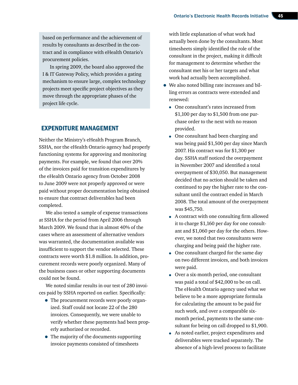<span id="page-46-0"></span>based on performance and the achievement of results by consultants as described in the contract and in compliance with eHealth Ontario's procurement policies.

In spring 2009, the board also approved the I & IT Gateway Policy, which provides a gating mechanism to ensure large, complex technology projects meet specific project objectives as they move through the appropriate phases of the project life cycle.

## Expenditure management

Neither the Ministry's eHealth Program Branch, SSHA, nor the eHealth Ontario agency had properly functioning systems for approving and monitoring payments. For example, we found that over 20% of the invoices paid for transition expenditures by the eHealth Ontario agency from October 2008 to June 2009 were not properly approved or were paid without proper documentation being obtained to ensure that contract deliverables had been completed.

We also tested a sample of expense transactions at SSHA for the period from April 2006 through March 2009. We found that in almost 40% of the cases where an assessment of alternative vendors was warranted, the documentation available was insufficient to support the vendor selected. These contracts were worth \$1.8 million. In addition, procurement records were poorly organized. Many of the business cases or other supporting documents could not be found.

We noted similar results in our test of 280 invoices paid by SSHA reported on earlier. Specifically:

- The procurement records were poorly organized. Staff could not locate 22 of the 280 invoices. Consequently, we were unable to verify whether these payments had been properly authorized or recorded.
- The majority of the documents supporting invoice payments consisted of timesheets

with little explanation of what work had actually been done by the consultants. Most timesheets simply identified the role of the consultant in the project, making it difficult for management to determine whether the consultant met his or her targets and what work had actually been accomplished.

- We also noted billing rate increases and billing errors as contracts were extended and renewed:
	- One consultant's rates increased from \$1,100 per day to \$1,500 from one purchase order to the next with no reason provided.
	- One consultant had been charging and was being paid \$1,500 per day since March 2007. His contract was for \$1,300 per day. SSHA staff noticed the overpayment in November 2007 and identified a total overpayment of \$30,050. But management decided that no action should be taken and continued to pay the higher rate to the consultant until the contract ended in March 2008. The total amount of the overpayment was \$45,750.
	- A contract with one consulting firm allowed it to charge \$1,160 per day for one consultant and \$1,060 per day for the others. However, we noted that two consultants were charging and being paid the higher rate.
	- One consultant charged for the same day on two different invoices, and both invoices were paid.
	- Over a six-month period, one consultant was paid a total of \$42,000 to be on call. The eHealth Ontario agency used what we believe to be a more appropriate formula for calculating the amount to be paid for such work, and over a comparable sixmonth period, payments to the same consultant for being on call dropped to \$1,900.
	- As noted earlier, project expenditures and deliverables were tracked separately. The absence of a high-level process to facilitate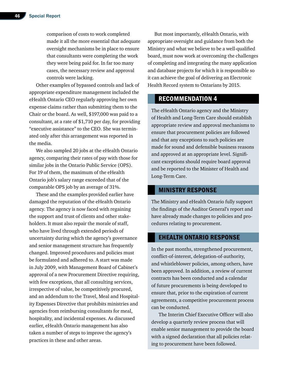comparison of costs to work completed made it all the more essential that adequate oversight mechanisms be in place to ensure that consultants were completing the work they were being paid for. In far too many cases, the necessary review and approval controls were lacking.

Other examples of bypassed controls and lack of appropriate expenditure management included the eHealth Ontario CEO regularly approving her own expense claims rather than submitting them to the Chair or the board. As well, \$197,000 was paid to a consultant, at a rate of \$1,710 per day, for providing "executive assistance" to the CEO. She was terminated only after this arrangement was reported in the media.

We also sampled 20 jobs at the eHealth Ontario agency, comparing their rates of pay with those for similar jobs in the Ontario Public Service (OPS). For 19 of them, the maximum of the eHealth Ontario job's salary range exceeded that of the comparable OPS job by an average of 31%.

These and the examples provided earlier have damaged the reputation of the eHealth Ontario agency. The agency is now faced with regaining the support and trust of clients and other stakeholders. It must also repair the morale of staff, who have lived through extended periods of uncertainty during which the agency's governance and senior management structure has frequently changed. Improved procedures and policies must be formulated and adhered to. A start was made in July 2009, with Management Board of Cabinet's approval of a new Procurement Directive requiring, with few exceptions, that all consulting services, irrespective of value, be competitively procured, and an addendum to the Travel, Meal and Hospitality Expenses Directive that prohibits ministries and agencies from reimbursing consultants for meal, hospitality, and incidental expenses. As discussed earlier, eHealth Ontario management has also taken a number of steps to improve the agency's practices in these and other areas.

But most importantly, eHealth Ontario, with appropriate oversight and guidance from both the Ministry and what we believe to be a well-qualified board, must now work at overcoming the challenges of completing and integrating the many application and database projects for which it is responsible so it can achieve the goal of delivering an Electronic Health Record system to Ontarians by 2015.

### Recommendation 4

The eHealth Ontario agency and the Ministry of Health and Long-Term Care should establish appropriate review and approval mechanisms to ensure that procurement policies are followed and that any exceptions to such policies are made for sound and defensible business reasons and approved at an appropriate level. Significant exceptions should require board approval and be reported to the Minister of Health and Long-Term Care.

### ministry response

The Ministry and eHealth Ontario fully support the findings of the Auditor General's report and have already made changes to policies and procedures relating to procurement.

#### ehealth ontario response

In the past months, strengthened procurement, conflict-of-interest, delegation-of-authority, and whistleblower policies, among others, have been approved. In addition, a review of current contracts has been conducted and a calendar of future procurements is being developed to ensure that, prior to the expiration of current agreements, a competitive procurement process can be conducted.

The Interim Chief Executive Officer will also develop a quarterly review process that will enable senior management to provide the board with a signed declaration that all policies relating to procurement have been followed.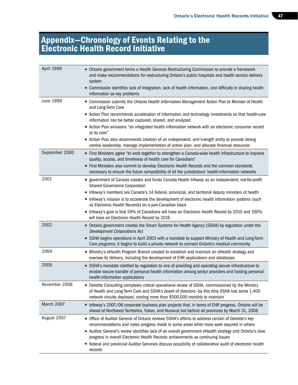# <span id="page-48-0"></span>Appendix—Chronology of Events Relating to the Electronic Health Record Initiative

| April 1996     | • Ontario government forms a Health Services Restructuring Commission to provide a framework<br>and make recommendations for restructuring Ontario's public hospitals and health service delivery<br>system                                                                    |
|----------------|--------------------------------------------------------------------------------------------------------------------------------------------------------------------------------------------------------------------------------------------------------------------------------|
|                | • Commission identifies lack of integration, lack of health information, and difficulty in sharing health<br>information as key problems                                                                                                                                       |
| June 1999      | • Commission submits the Ontario Health Information Management Action Plan to Minister of Health<br>and Long-Term Care                                                                                                                                                         |
|                | • Action Plan recommends acceleration of information and technology investments so that health-care<br>information can be better captured, shared, and analyzed                                                                                                                |
|                | • Action Plan envisions "an integrated health information network with an electronic consumer record<br>at its core"                                                                                                                                                           |
|                | • Action Plan also recommends creation of an independent, arm's-length entity to provide strong<br>central leadership, manage implementation of action plan, and allocate financial resources                                                                                  |
| September 2000 | • First Ministers agree "to work together to strengthen a Canada-wide health infrastructure to improve<br>quality, access, and timeliness of health care for Canadians"                                                                                                        |
|                | • First Ministers also commit to develop Electronic Health Records and the common standards<br>necessary to ensure the future compatibility of all the jurisdictions' health-information networks                                                                              |
| 2001           | government of Canada creates and funds Canada Health Infoway as an independent, not-for-profit<br>$\bullet$<br>Shared Governance Corporation                                                                                                                                   |
|                | • Infoway's members are Canada's 14 federal, provincial, and territorial deputy ministers of health<br>• Infoway's mission is to accelerate the development of electronic health information systems (such                                                                     |
|                | as Electronic Health Records) on a pan-Canadian basis<br>• Infoway's goal is that 50% of Canadians will have an Electronic Health Record by 2010 and 100%                                                                                                                      |
|                | will have an Electronic Health Record by 2016                                                                                                                                                                                                                                  |
| 2002           | • Ontario government creates the Smart Systems for Health Agency (SSHA) by regulation under the<br><b>Development Corporations Act</b>                                                                                                                                         |
|                | • SSHA begins operations in April 2003 with a mandate to support Ministry of Health and Long-Term<br>Care programs; it begins to build a private network to connect Ontario's medical community                                                                                |
| 2004           | • Ministry's eHealth Program Branch created to establish and maintain an eHealth strategy and<br>oversee its delivery, including the development of EHR applications and databases                                                                                             |
| 2005           | • SSHA's mandate clarified by regulation to one of providing and operating secure infrastructure to<br>enable secure transfer of personal health information among sector providers and hosting personal-<br>health-information applications                                   |
| November 2006  | • Deloitte Consulting completes critical operational review of SSHA, commissioned by the Ministry<br>of Health and Long-Term Care and SSHA's board of directors-by this time SSHA has some 1,400<br>network circuits deployed, costing more than \$500,000 monthly to maintain |
| March 2007     | • Infoway's 2007/08 corporate business plan projects that, in terms of EHR progress, Ontario will be<br>ahead of Northwest Territories, Yukon, and Nunavut but behind all provinces by March 31, 2008                                                                          |
| August 2007    | • Office of Auditor General of Ontario reviews SSHA's efforts to address certain of Deloitte's key<br>recommendations and notes progress made in some areas while more work required in others                                                                                 |
|                | • Auditor General's review identifies lack of an overall government eHealth strategy and Ontario's slow<br>progress in overall Electronic Health Records achievements as continuing issues                                                                                     |
|                | • federal and provincial Auditor Generals discuss possibility of collaborative audit of electronic health<br>records                                                                                                                                                           |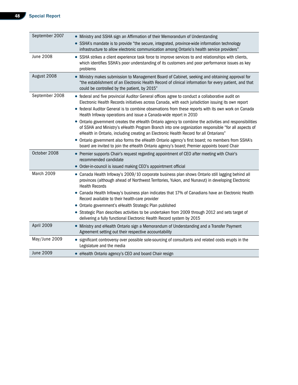48 Special Report

| September 2007   | • Ministry and SSHA sign an Affirmation of their Memorandum of Understanding<br>• SSHA's mandate is to provide "the secure, integrated, province-wide information technology<br>infrastructure to allow electronic communication among Ontario's health service providers"                                                                                                                                                                                                                                                                                                                                                                                                                 |
|------------------|--------------------------------------------------------------------------------------------------------------------------------------------------------------------------------------------------------------------------------------------------------------------------------------------------------------------------------------------------------------------------------------------------------------------------------------------------------------------------------------------------------------------------------------------------------------------------------------------------------------------------------------------------------------------------------------------|
| <b>June 2008</b> | • SSHA strikes a client experience task force to improve services to and relationships with clients,<br>which identifies SSHA's poor understanding of its customers and poor performance issues as key<br>problems                                                                                                                                                                                                                                                                                                                                                                                                                                                                         |
| August 2008      | Ministry makes submission to Management Board of Cabinet, seeking and obtaining approval for<br>"the establishment of an Electronic Health Record of clinical information for every patient, and that<br>could be controlled by the patient, by 2015"                                                                                                                                                                                                                                                                                                                                                                                                                                      |
| September 2008   | • federal and five provincial Auditor General offices agree to conduct a collaborative audit on<br>Electronic Health Records initiatives across Canada, with each jurisdiction issuing its own report<br>• federal Auditor General is to combine observations from these reports with its own work on Canada<br>Health Infoway operations and issue a Canada-wide report in 2010<br>• Ontario government creates the eHealth Ontario agency to combine the activities and responsibilities<br>of SSHA and Ministry's eHealth Program Branch into one organization responsible "for all aspects of<br>eHealth in Ontario, including creating an Electronic Health Record for all Ontarians" |
|                  | • Ontario government also forms the eHealth Ontario agency's first board; no members from SSHA's<br>board are invited to join the eHealth Ontario agency's board; Premier appoints board Chair                                                                                                                                                                                                                                                                                                                                                                                                                                                                                             |
| October 2008     | • Premier supports Chair's request regarding appointment of CEO after meeting with Chair's<br>recommended candidate<br>Order-in-council is issued making CEO's appointment official                                                                                                                                                                                                                                                                                                                                                                                                                                                                                                        |
| March 2009       | • Canada Health Infoway's 2009/10 corporate business plan shows Ontario still lagging behind all<br>provinces (although ahead of Northwest Territories, Yukon, and Nunavut) in developing Electronic<br><b>Health Records</b>                                                                                                                                                                                                                                                                                                                                                                                                                                                              |
|                  | • Canada Health Infoway's business plan indicates that 17% of Canadians have an Electronic Health<br>Record available to their health-care provider                                                                                                                                                                                                                                                                                                                                                                                                                                                                                                                                        |
|                  | • Ontario government's eHealth Strategic Plan published                                                                                                                                                                                                                                                                                                                                                                                                                                                                                                                                                                                                                                    |
|                  | • Strategic Plan describes activities to be undertaken from 2009 through 2012 and sets target of<br>delivering a fully functional Electronic Health Record system by 2015                                                                                                                                                                                                                                                                                                                                                                                                                                                                                                                  |
| April 2009       | • Ministry and eHealth Ontario sign a Memorandum of Understanding and a Transfer Payment<br>Agreement setting out their respective accountability                                                                                                                                                                                                                                                                                                                                                                                                                                                                                                                                          |
| May/June 2009    | • significant controversy over possible sole-sourcing of consultants and related costs erupts in the<br>Legislature and the media                                                                                                                                                                                                                                                                                                                                                                                                                                                                                                                                                          |
| <b>June 2009</b> | • eHealth Ontario agency's CEO and board Chair resign                                                                                                                                                                                                                                                                                                                                                                                                                                                                                                                                                                                                                                      |
|                  |                                                                                                                                                                                                                                                                                                                                                                                                                                                                                                                                                                                                                                                                                            |